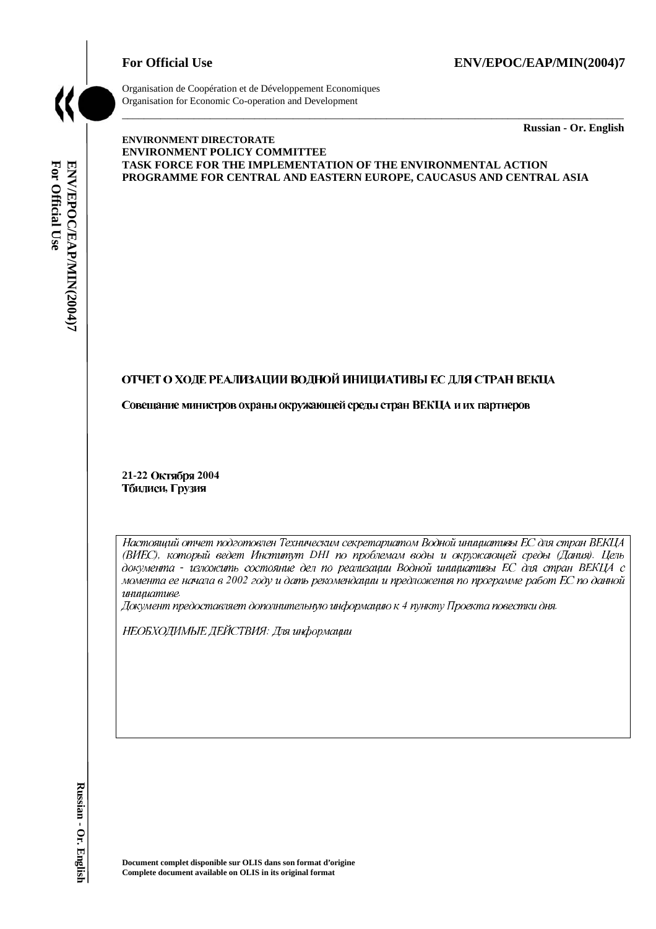## For Official Use ENV/EPOC/EAP/MIN(2004)7



Organisation de Coopération et de Développement Economiques Organisation for Economic Co-operation and Development

\_\_\_\_\_\_\_\_\_\_\_\_\_ **Russian - Or. English** 

# For Official Use ENV/EPOC/EAP/MIN(2004)7 **For Official Use ENV/EPOC/EAP/MIN(2004)7 Russian - Or. English**

#### **ENVIRONMENT DIRECTORATE ENVIRONMENT POLICY COMMITTEE TASK FORCE FOR THE IMPLEMENTATION OF THE ENVIRONMENTAL ACTION PROGRAMME FOR CENTRAL AND EASTERN EUROPE, CAUCASUS AND CENTRAL ASIA**

\_\_\_\_\_\_\_\_\_\_\_\_\_\_\_\_\_\_\_\_\_\_\_\_\_\_\_\_\_\_\_\_\_\_\_\_\_\_\_\_\_\_\_\_\_\_\_\_\_\_\_\_\_\_\_\_\_\_\_\_\_\_\_\_\_\_\_\_\_\_\_\_\_\_\_\_\_\_\_\_\_\_\_\_\_\_\_\_\_\_\_

## ОТЧЕТ О ХОДЕ РЕАЛИЗАЦИИ ВОДНОЙ ИНИЦИАТИВЫ ЕС ДЛЯ СТРАН ВЕКЦА

Совещание министров охраны окружающей среды стран ВЕКЦА и их партнеров

21-22 Октября 2004 Тбилиси, Грузия

Настоящий отчет подготовлен Техническим секретариатом Водной инициативы ЕС для стран ВЕКЦА (ВИЕС), который ведет Институт DHI по проблемам воды и окружающей среды (Дания). документа - изложить состояние дел по реализации Водной инициативы ЕС для стран ВЕКЦА с  инициативе.

Документ предоставляет дополнительную информацию к 4 пункту Проекта повестки дня.

НЕОБХОДИМЫЕ ДЕЙСТВИЯ: Для информации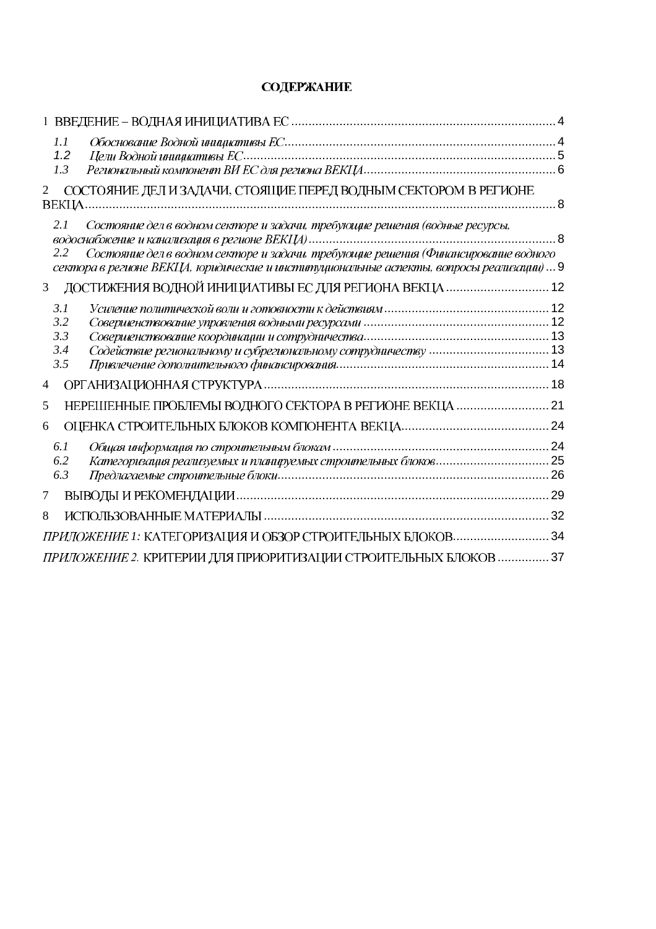# **СОДЕРЖАНИЕ**

| 1.1<br>1.2<br>1.3                                                                                                                                                                                                                                                          |  |
|----------------------------------------------------------------------------------------------------------------------------------------------------------------------------------------------------------------------------------------------------------------------------|--|
| СОСТОЯНИЕ ДЕЛ ИЗАДАЧИ, СТОЯЩИЕ ПЕРЕД ВОДНЫМ СЕКТОРОМ В РЕГИОНЕ<br>$\overline{2}$                                                                                                                                                                                           |  |
| Состояние дел в водном секторе и задачи, требующие решения (водные ресурсы,<br>2.1<br>Состояние дел в водном секторе и задачи, требующие решения (Финансирование водного<br>2.2<br>сектора в регионе ВЕКЦА, юридические и институциональные аспекты, вопросы реализации) 9 |  |
| ДОСТИЖЕНИЯ ВОДНОЙ ИНИЦИАТИВЫ ЕС ДЛЯ РЕГИОНА ВЕКЦА  12<br>3                                                                                                                                                                                                                 |  |
| 3.1<br>3.2<br>3.3<br>3.4<br>3.5                                                                                                                                                                                                                                            |  |
| 4                                                                                                                                                                                                                                                                          |  |
| НЕРЕШЕННЫЕ ПРОБЛЕМЫ ВОДНОГО СЕКТОРА В РЕГИОНЕ ВЕКЦА  21<br>5                                                                                                                                                                                                               |  |
| 6                                                                                                                                                                                                                                                                          |  |
| 6.1<br>6.2<br>6.3                                                                                                                                                                                                                                                          |  |
| 7                                                                                                                                                                                                                                                                          |  |
| 8                                                                                                                                                                                                                                                                          |  |
| ПРИЛОЖЕНИЕ 1: КАТЕГОРИЗАЦИЯ И ОБЗОР СТРОИТЕЛЬНЫХ БЛОКОВ 34                                                                                                                                                                                                                 |  |
| ПРИЛОЖЕНИЕ 2. КРИТЕРИИ ДЛЯ ПРИОРИТИЗАЦИИ СТРОИТЕЛЬНЫХ БЛОКОВ  37                                                                                                                                                                                                           |  |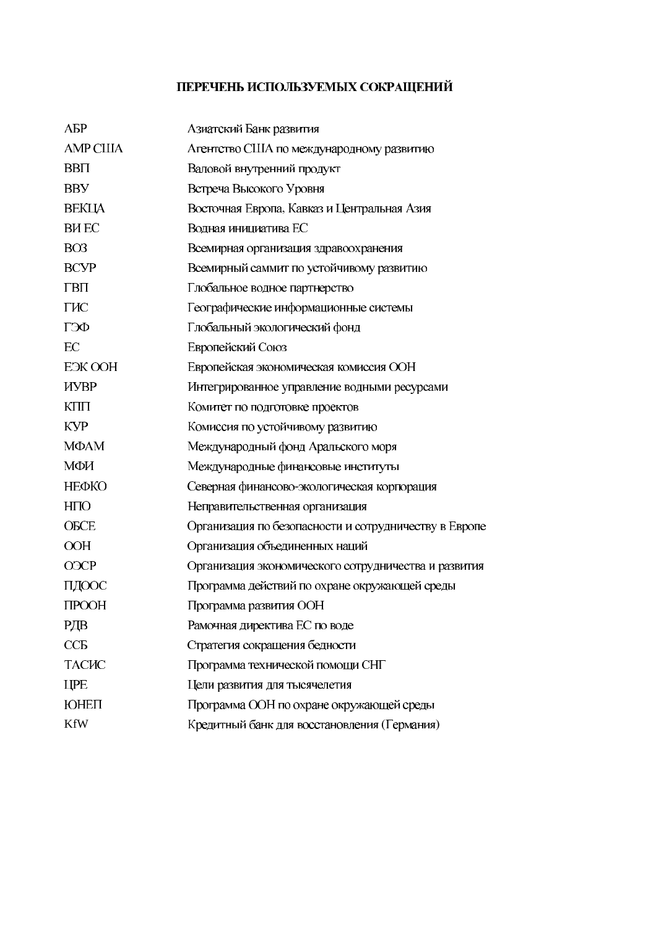# ПЕРЕЧЕНЬ ИСПОЛЬЗУЕМЫХ СОКРАЩЕНИЙ

| AБP              | Азиатский Банк развития                               |
|------------------|-------------------------------------------------------|
| <b>AMP CIIIA</b> | Агентство США по международному развитию              |
| <b>BBII</b>      | Валовой внутренний продукт                            |
| <b>BBY</b>       | Встреча Высокого Уровня                               |
| ВЕКЦА            | Восточная Европа, Кавказ и Центральная Азия           |
| <b>BHEC</b>      | Водная инициатива ЕС                                  |
| BO <sub>3</sub>  | Всемирная организация здравоохранения                 |
| <b>BCVP</b>      | Всемирный саммит по устойчивому развитию              |
| ГВП              | Глобальное водное партнерство                         |
| ГИС              | Географические информационные системы                 |
| ГЭФ              | Глобальный экологический фонд                         |
| EC               | Европейский Союз                                      |
| EЭК ООН          | Европейская экономическая комиссия ООН                |
| <b>HYBP</b>      | Интегрированное управление водными ресурсами          |
| $K\prod$         | Комитет по подготовке проектов                        |
| <b>KYP</b>       | Комиссия по устойчивому развитию                      |
| МФАМ             | Международный фонд Аральского моря                    |
| МФИ              | Международные финансовые институты                    |
| НЕФКО            | Северная финансово-экологическая корпорация           |
| H <sub>II</sub>  | Неправительственная организация                       |
| <b>OBCE</b>      | Организация по безопасности и сотрудничеству в Европе |
| <b>OOH</b>       | Организация объединенных наций                        |
| <b>O</b> GCP     | Организация экономического сотрудничества и развития  |
| ПДООС            | Программа действий по охране окружающей среды         |
| <b>TIPOOH</b>    | Программа развития ООН                                |
| РДВ              | Рамочная директива ЕС по воде                         |
| CCE              | Стратегия сокращения бедности                         |
| ТАСИС            | Программа технической помощи СНГ                      |
| <b>IIPE</b>      | Цели развития для тысячелетия                         |
| ЮНЕП             | Программа ООН по охране окружающей среды              |
| <b>KfW</b>       | Кредитный банк для восстановления (Германия)          |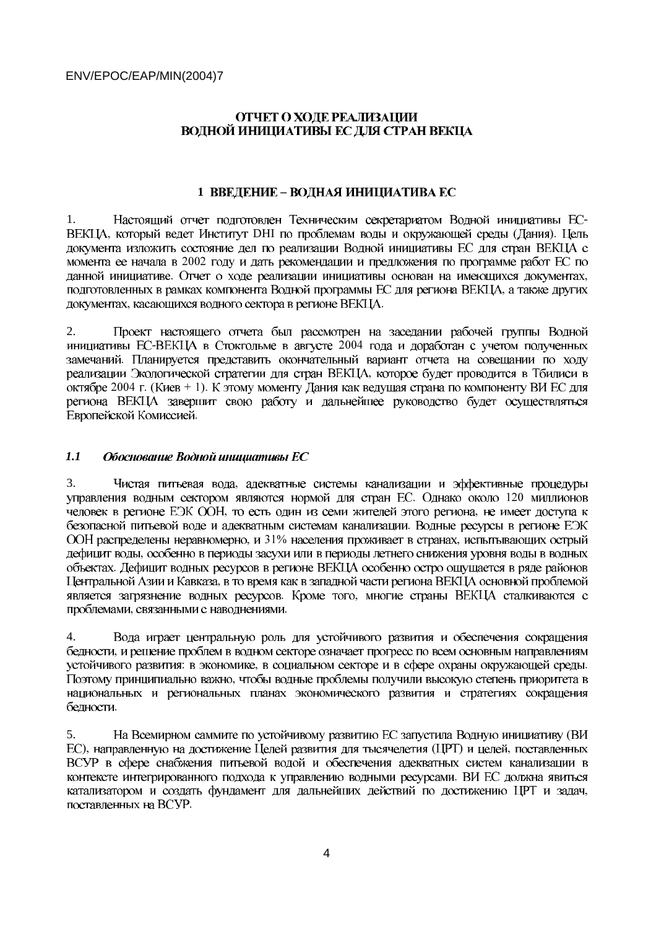## ОТЧЕТ О ХОЛЕ РЕАЛИЗАЦИИ ВОДНОЙ ИНИЦИАТИВЫ ЕС ДЛЯ СТРАН ВЕКЦА

#### 1 ВВЕДЕНИЕ - ВОДНАЯ ИНИЦИАТИВА ЕС

1. Настоящий отчет подготовлен Техническим секретариатом Водной инициативы ЕС-, который ведет Институт DHI по проблемам воды и окружающей среды (Дания). документа изложить состояние дел по реализации Водной инициативы ЕС для стран ВЕКЦА с 2002 . Отчет о ходе реализации инициативы основан на имеющихся документах, - , касающихся водного сектора в регионе ВЕКЦА.

2. Проект настоящего отчета был рассмотрен на заседании рабочей группы Водной -ВЕКЦА в Стокгольме в августе 2004 - - 2004 г. (Киев + 1). региона ВЕКЦА завершит свою работу и дальнейшее руководство будет осуществляться Европейской Комиссией.

#### *1.1*  Обоснование Водной инициативы ЕС

3. Чистая питьевая вода, . Однако около 120 то есть один из семи жителей этого региона, - , и 31% населения проживает в странах, - - - . Кроме того, , связанными с наводнениями.

Вода играет центральную роль для устойчивого развития и обеспечения сокращения 4. - : в экономике, в социальном секторе и в сфере охраны окружающей среды. национальных и региональных планах экономического развития и стратегиях сокращения -

5. На Всемирном саммите по устойчивому развитию ЕС запустила Водную инициативу ( ), направленную на достижение Целей развития для тысячелетия (ЦРТ) и целей, ВСУР в сфере снабжения питьевой водой и обеспечения адекватных систем канализации в - поставленных на ВСУР.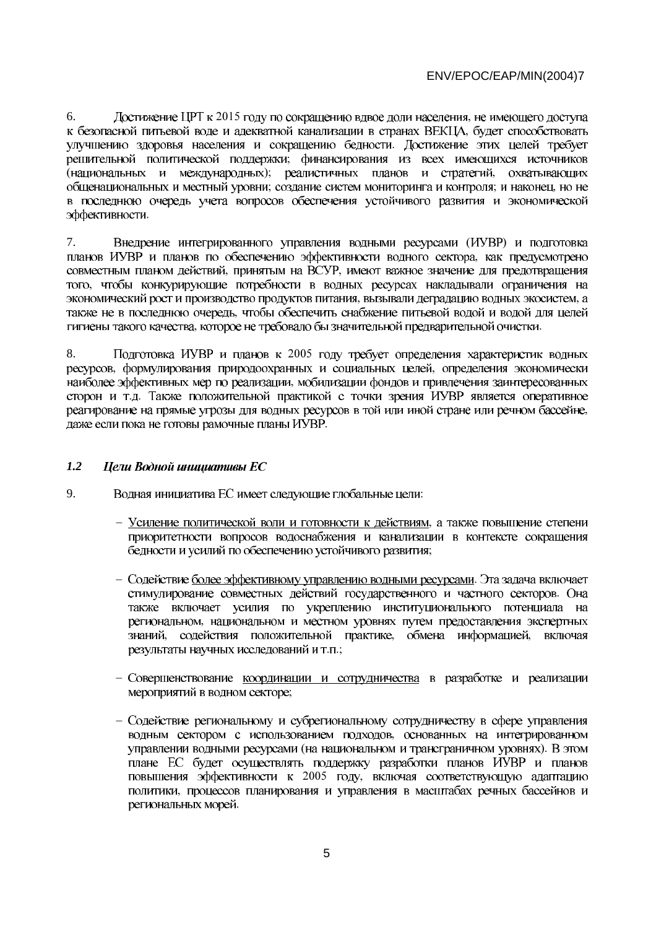6. Достижение ЦРТ к 2015 году по сокращению вдвое доли населения, - - - (национальных и международных); реалистичных планов и стратегий, ; создание систем мониторинга и контроля; и наконец, в последнюю очередь учета вопросов обеспечения устойчивого развития и экономической эффективности.

7. Внедрение интегрированного управления водными ресурсами (ИУВР) - , принятым на ВСУР, - , вызывали деградацию водных экосистем, - , которое не требовало бы значительной предварительной очистки.

8. Подготовка ИУВР и планов к 2005 , формулирования природоохранных и социальных целей, - .д. даже если пока не готовы рамочные планы ИУВР.

#### *1.2*  Цели Водной инициативы ЕС

- 9. Водная инициатива ЕС имеет следующие глобальные цели:
	- Усиление политической воли и готовности к действиям, приоритетности вопросов водоснабжения и канализации в контексте сокращения бедности и усилий по обеспечению устойчивого развития;
	- Содействие более эффективному управлению водными ресурсами. также включает усилия по укреплению институционального потенциала на - , содействия положительной практике, обмена информацией, результаты научных исследований и т.п.;
	- Совершенствование координации и сотрудничества в разработке и реализации мероприятий в водном секторе;
	- Содействие региональному и субрегиональному сотрудничеству в сфере управления - (на национальном и трансграничном уровнях). плане ЕС будет осуществлять поддержку разработки планов ИУВР и планов  $2005$  году, региональных морей.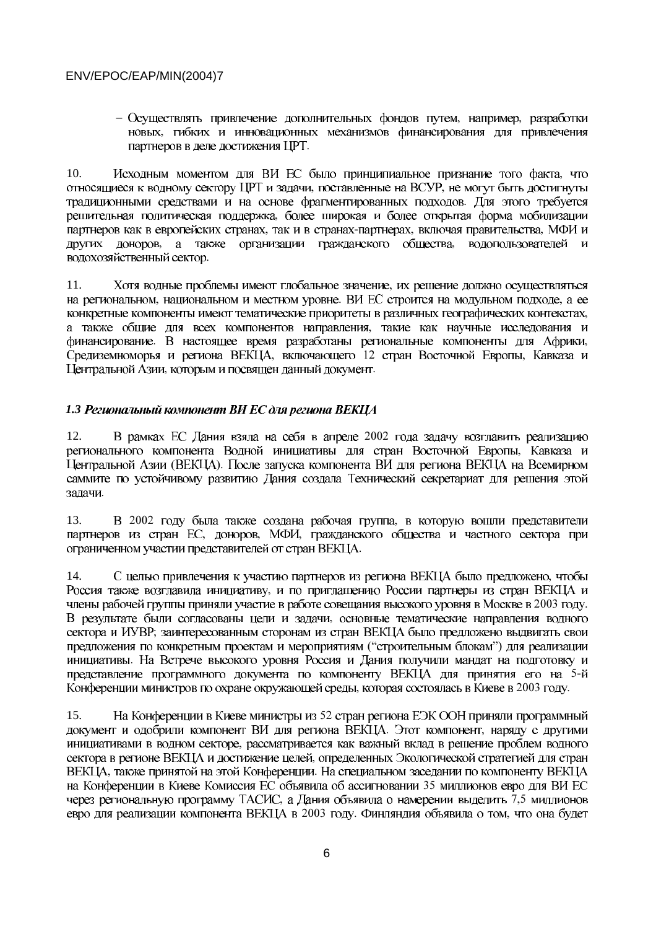– Осуществлять привлечение дополнительных фондов путем, например, разработки новых, гибких и инновационных механизмов финансирования для привлечения партнеров в деле достижения ЦРТ.

 $10<sub>1</sub>$ Исходным моментом для ВИ ЕС было принципиальное признание того факта, что относящиеся к водному сектору ЦРТ и задачи, поставленные на ВСУР, не могут быть достигнуты традиционными средствами и на основе фрагментированных подходов. Для этого требуется решительная политическая поддержка, более широкая и более открытая форма мобилизации партнеров как в европейских странах, так и в странах-партнерах, включая правительства, МФИ и других доноров, а также организации гражданского общества, водопользователей и водохозяйственный сектор.

11. Хотя водные проблемы имеют глобальное значение, их решение должно осуществляться на региональном, национальном и местном уровне. ВИ ЕС строится на модульном подходе, а ее конкретные компоненты имеют тематические приоритеты в различных географических контекстах, а также общие для всех компонентов направления, такие как научные исследования и финансирование. В настоящее время разработаны региональные компоненты для Африки, Средиземноморья и региона ВЕКЦА, включающего 12 стран Восточной Европы, Кавказа и Центральной Азии, которым и посвящен данный документ.

## 1.3 Региональный компонент ВИ ЕС для региона ВЕКЦА

В рамках ЕС Дания взяла на себя в апреле 2002 года задачу возглавить реализацию 12. регионального компонента Водной инициативы для стран Восточной Европы, Кавказа и Центральной Азии (ВЕКЦА). После запуска компонента ВИ для региона ВЕКЦА на Всемирном саммите по устойчивому развитию Дания создала Технический секретариат для решения этой залачи.

В 2002 году была также создана рабочая группа, в которую вошли представители 13. партнеров из стран ЕС, доноров, МФИ, гражданского общества и частного сектора при ограниченном участии представителей от стран ВЕКЦА.

14. С целью привлечения к участию партнеров из региона ВЕКЦА было предложено, чтобы Россия также возглавила инициативу, и по приглашению России партнеры из стран ВЕКЦА и члены рабочей группы приняли участие в работе совещания высокого уровня в Москве в 2003 году. В результате были согласованы цели и задачи, основные тематические направления водного сектора и ИУВР; заинтересованным сторонам из стран ВЕКЦА было предложено выдвигать свои предложения по конкретным проектам и мероприятиям ("строительным блокам") для реализации инициативы. На Встрече высокого уровня Россия и Дания получили мандат на подготовку и представление программного документа по компоненту ВЕКЦА для принятия его на 5-й Конференции министров по охране окружающей среды, которая состоялась в Киеве в 2003 году.

На Конференции в Киеве министры из 52 стран региона ЕЭК ООН приняли программный  $15.$ документ и одобрили компонент ВИ для региона ВЕКЦА. Этот компонент, наряду с другими инициативами в водном секторе, рассматривается как важный вклад в решение проблем водного сектора в регионе ВЕКЦА и достижение целей, определенных Экологической стратегией для стран ВЕКЦА, также принятой на этой Конференции. На специальном заседании по компоненту ВЕКЦА на Конференции в Киеве Комиссия ЕС объявила об ассигновании 35 миллионов евро для ВИ ЕС через региональную программу ТАСИС, а Дания объявила о намерении выделить 7,5 миллионов евро для реализации компонента ВЕКЦА в 2003 году. Финляндия объявила о том, что она будет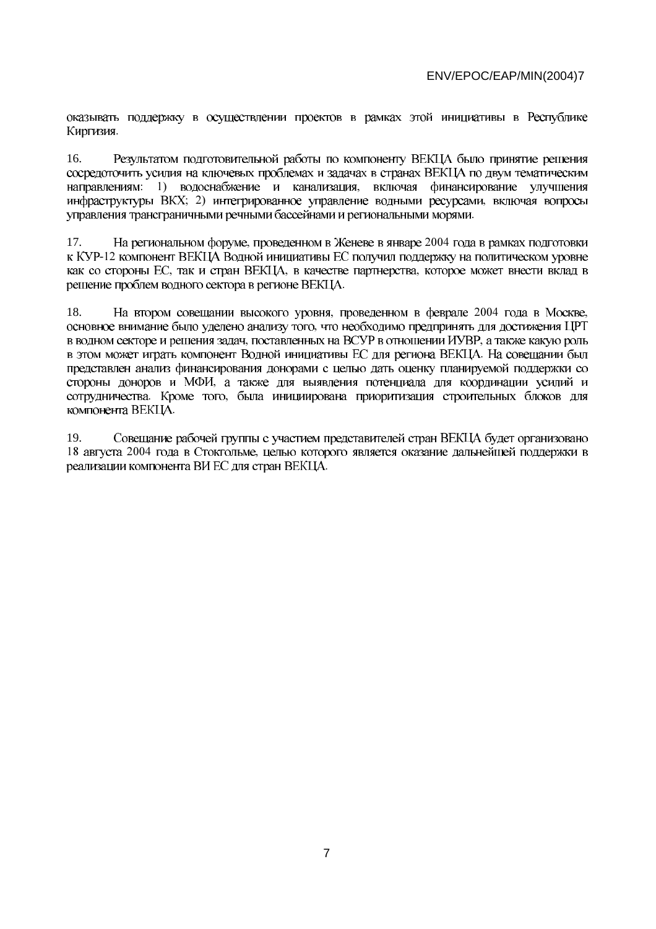оказывать поддержку в осуществлении проектов в рамках этой инициативы в Республике -

16. Результатом подготовительной работы по компоненту ВЕКЦА было принятие решения сосредоточить усилия на ключевых проблемах и задачах в странах ВЕКЦА по двум тематическим : 1) водоснабжение и канализация, ; 2) интегрированное управление водными ресурсами, -

17. На региональном форуме, проведенном в Женеве в январе 2004  $-12$ , так и стран ВЕКЦА, в качестве партнерства, -

18. На втором совещании высокого уровня, проведенном в феврале 2004 года в Москве, - , поставленных на ВСУР в отношении ИУВР, представлен анализ финансирования донорами с целью дать оценку планируемой поддержки со .<br>, . Кроме того, компонента ВЕКЦА.

19. Совещание рабочей группы с участием представителей стран ВЕКЦА будет организовано 18 августа 2004 года в Стокгольме, реализации компонента ВИ ЕС для стран ВЕКЦА.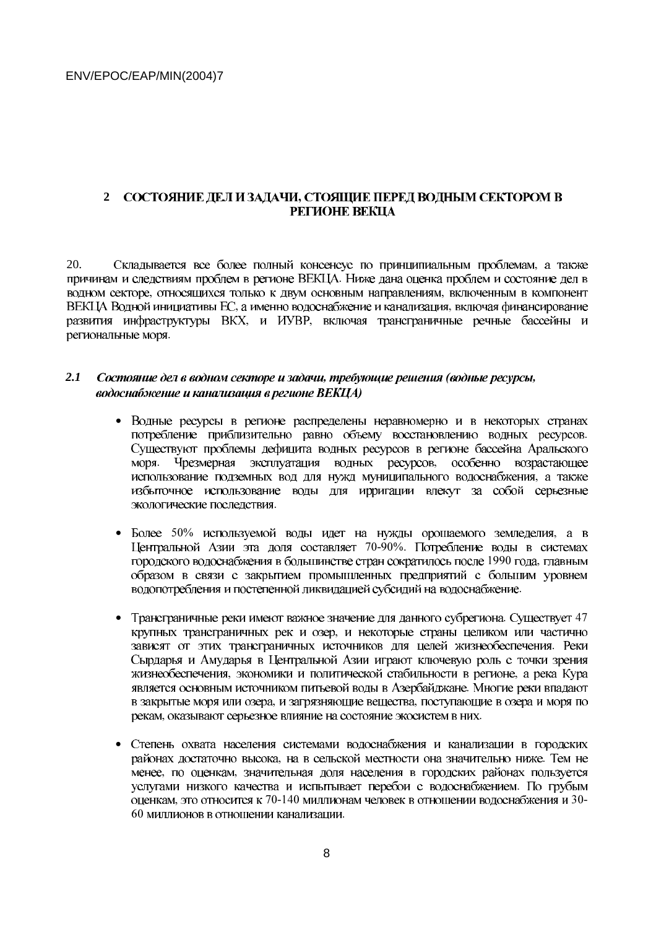#### 2 СОСТОЯНИЕ ДЕЛ И ЗАДАЧИ, СТОЯЩИЕ ПЕРЕД ВОДНЫМ СЕКТОРОМ В РЕГИОНЕ ВЕКЦА

 $20^{\circ}$ Складывается все более полный консенсус по принципиальным проблемам, а также причинам и следствиям проблем в регионе ВЕКЦА. Ниже дана оценка проблем и состояние дел в водном секторе, относящихся только к двум основным направлениям, включенным в компонент ВЕКЦА Водной инициативы ЕС, а именно водоснабжение и канализация, включая финансирование развития инфраструктуры ВКХ, и ИУВР, включая трансграничные речные бассейны и региональные моря.

#### $2.1$ Состояние дел в водном секторе и задачи, требующие решения (водные ресурсы, водоснабжение и канализация в регионе ВЕКЦА)

- Водные ресурсы в регионе распределены неравномерно и в некоторых странах потребление приблизительно равно объему восстановлению водных ресурсов. Существуют проблемы дефицита водных ресурсов в регионе бассейна Аральского Чрезмерная эксплуатация водных ресурсов, особенно возрастающее моря. использование подземных вод для нужд муниципального водоснабжения, а также избыточное использование воды для ирригации влекут за собой серьезные экологические последствия.
- Более 50% используемой воды идет на нужды орошаемого земледелия, а в Центральной Азии эта доля составляет 70-90%. Потребление воды в системах городского водоснабжения в большинстве стран сократилось после 1990 года. главным образом в связи с закрытием промышленных предприятий с большим уровнем водопотребления и постепенной ликвидацией субсидий на водоснабжение.
- Трансграничные реки имеют важное значение для данного субрегиона. Существует 47 крупных трансграничных рек и озер, и некоторые страны целиком или частично зависят от этих трансграничных источников для целей жизнеобеспечения. Реки Сырдарья и Амударья в Центральной Азии играют ключевую роль с точки зрения жизнеобеспечения, экономики и политической стабильности в регионе, а река Кура является основным источником питьевой воды в Азербайджане. Многие реки впадают в закрытые моря или озера, и загрязняющие вещества, поступающие в озера и моря по рекам, оказывают серьезное влияние на состояние экосистем в них.
- Степень охвата населения системами водоснабжения и канализации в городских районах достаточно высока, на в сельской местности она значительно ниже. Тем не менее, по оценкам, значительная доля населения в городских районах пользуется услугами низкого качества и испытывает перебои с водоснабжением. По грубым оценкам, это относится к 70-140 миллионам человек в отношении водоснабжения и 30-60 миллионов в отношении канализации.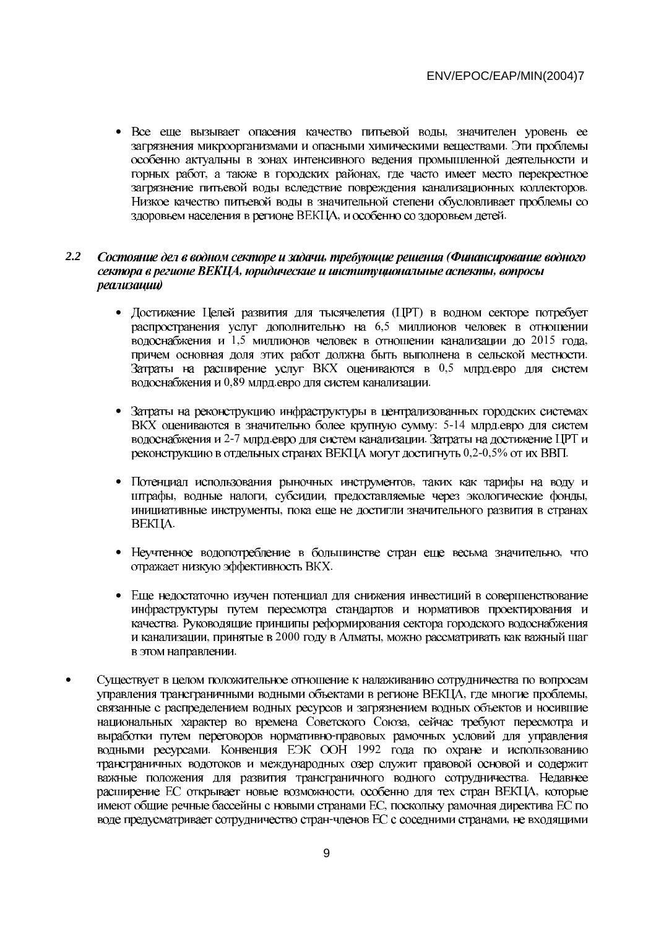• Все еще вызывает опасения качество питьевой воды, значителен уровень ее загрязнения микроорганизмами и опасными химическими веществами. Эти проблемы особенно актуальны в зонах интенсивного ведения промышленной деятельности и горных работ, а также в городских районах, где часто имеет место перекрестное загрязнение питьевой воды вследствие повреждения канализационных коллекторов. Низкое качество питьевой воды в значительной степени обусловливает проблемы со здоровьем населения в регионе ВЕКЦА, и особенно со здоровьем детей.

#### $2.2$ Состояние дел в водном секторе и задачи, требующие решения (Финансирование водного сектора в регионе ВЕКЦА, юридические и институциональные аспекты, вопросы реализации)

- Лостижение Пелей развития для тысячелетия (ПРТ) в водном секторе потребует распространения услуг дополнительно на 6,5 миллионов человек в отношении водоснабжения и 1,5 миллионов человек в отношении канализации до 2015 года, причем основная доля этих работ должна быть выполнена в сельской местности. Затраты на расширение услуг ВКХ оцениваются в 0,5 млрд.евро для систем водоснабжения и 0,89 млрд.евро для систем канализации.
- Затраты на реконструкцию инфраструктуры в централизованных городских системах ВКХ оцениваются в значительно более крупную сумму: 5-14 млрд.евро для систем водоснабжения и 2-7 млрд.евро для систем канализации. Затраты на достижение ЦРТ и реконструкцию в отдельных странах ВЕКЦА могут достигнуть 0,2-0,5% от их ВВП.
- Потенциал использования рыночных инструментов, таких как тарифы на воду и штрафы, водные налоги, субсидии, предоставляемые через экологические фонды, инициативные инструменты, пока еще не достигли значительного развития в странах BEKIIA.
- Неучтенное водопотребление в большинстве стран еще весьма значительно, что отражает низкую эффективность ВКХ.
- Еще недостаточно изучен потенциал для снижения инвестиций в совершенствование инфраструктуры путем пересмотра стандартов и нормативов проектирования и качества. Руководящие принципы реформирования сектора городского водоснабжения и канализации, принятые в 2000 году в Алматы, можно рассматривать как важный шаг в этом направлении.
- Существует в целом положительное отношение к налаживанию сотрудничества по вопросам управления трансграничными водными объектами в регионе ВЕКЦА, где многие проблемы, связанные с распределением водных ресурсов и загрязнением водных объектов и носившие национальных характер во времена Советского Союза, сейчас требуют пересмотра и выработки путем переговоров нормативно-правовых рамочных условий для управления водными ресурсами. Конвенция ЕЭК ООН 1992 года по охране и использованию трансграничных водотоков и международных озер служит правовой основой и содержит важные положения для развития трансграничного водного сотрудничества. Недавнее расширение ЕС открывает новые возможности, особенно для тех стран ВЕКЦА, которые имеют общие речные бассейны с новыми странами ЕС, поскольку рамочная директива ЕС по воде предусматривает сотрудничество стран-членов ЕС с соседними странами, не входящими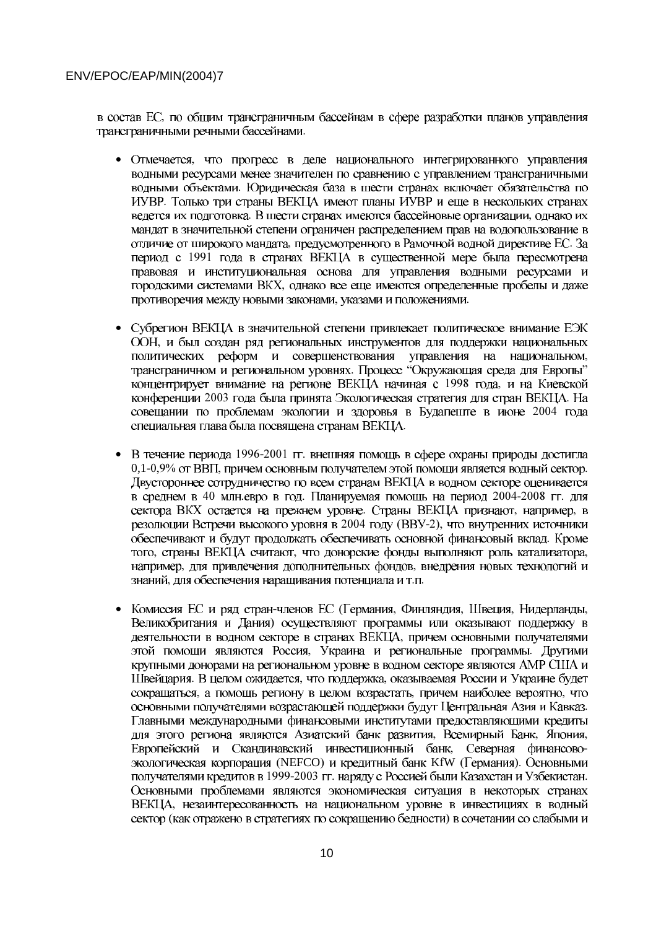в состав ЕС, по общим трансграничным бассейнам в сфере разработки планов управления трансграничными речными бассейнами.

- Отмечается, что прогресс в деле национального интегрированного управления водными ресурсами менее значителен по сравнению с управлением трансграничными водными объектами. Юридическая база в шести странах включает обязательства по ИУВР. Только три страны ВЕКЦА имеют планы ИУВР и еще в нескольких странах ведется их подготовка. В шести странах имеются бассейновые организации, однако их мандат в значительной степени ограничен распределением прав на водопользование в отличие от широкого мандата, предусмотренного в Рамочной водной директиве ЕС. За период с 1991 года в странах ВЕКЦА в существенной мере была пересмотрена правовая и институциональная основа для управления водными ресурсами и городскими системами ВКХ, однако все еще имеются определенные пробелы и даже противоречия между новыми законами, указами и положениями.
- Субрегион ВЕКЦА в значительной степени привлекает политическое внимание ЕЭК ООН, и был создан ряд региональных инструментов для поддержки национальных политических реформ и совершенствования управления на национальном, трансграничном и региональном уровнях. Процесс "Окружающая среда для Европы" концентрирует внимание на регионе ВЕКЦА начиная с 1998 года, и на Киевской конференции 2003 года была принята Экологическая стратегия для стран ВЕКЦА. На совещании по проблемам экологии и здоровья в Будапеште в июне 2004 года специальная глава была посвящена странам ВЕКЦА.
- В течение периода 1996-2001 гг. внешняя помощь в сфере охраны природы достигла 0,1-0,9% от ВВП, причем основным получателем этой помощи является водный сектор. Двустороннее сотрудничество по всем странам ВЕКЦА в водном секторе оценивается в среднем в 40 млн.евро в год. Планируемая помощь на период 2004-2008 гг. для сектора ВКХ остается на прежнем уровне. Страны ВЕКЦА признают, например, в резолюции Встречи высокого уровня в 2004 году (ВВУ-2), что внутренних источники обеспечивают и будут продолжать обеспечивать основной финансовый вклад. Кроме того, страны ВЕКЦА считают, что донорские фонды выполняют роль катализатора, например, для привлечения дополнительных фондов, внедрения новых технологий и знаний, для обеспечения наращивания потенциала и т.п.
- Комиссия ЕС и ряд стран-членов ЕС (Германия, Финляндия, Швеция, Нидерланды, Великобритания и Дания) осуществляют программы или оказывают поддержку в деятельности в водном секторе в странах ВЕКЦА, причем основными получателями этой помощи являются Россия, Украина и региональные программы. Другими крупными донорами на региональном уровне в водном секторе являются AMP CIIIA и Швейцария. В целом ожидается, что поддержка, оказываемая России и Украине будет сокращаться, а помощь региону в целом возрастать, причем наиболее вероятно, что основными получателями возрастающей поддержки будут Центральная Азия и Кавказ. Главными международными финансовыми институтами предоставляющими кредиты для этого региона являются Азиатский банк развития, Всемирный Банк, Япония, Европейский и Скандинавский инвестиционный банк, Северная финансовоэкологическая корпорация (NEFCO) и кредитный банк KfW (Германия). Основными получателями кредитов в 1999-2003 гг. наряду с Россией были Казахстан и Узбекистан. Основными проблемами являются экономическая ситуация в некоторых странах ВЕКЦА, незаинтересованность на национальном уровне в инвестициях в водный сектор (как отражено в стратегиях по сокращению бедности) в сочетании со слабыми и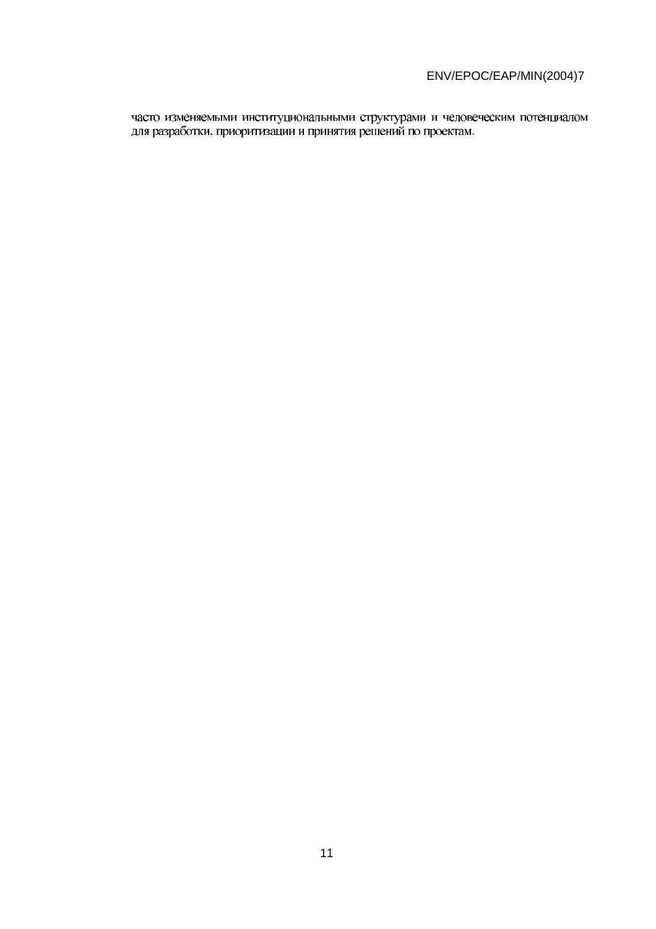, приоритизации и принятия решений по проектам.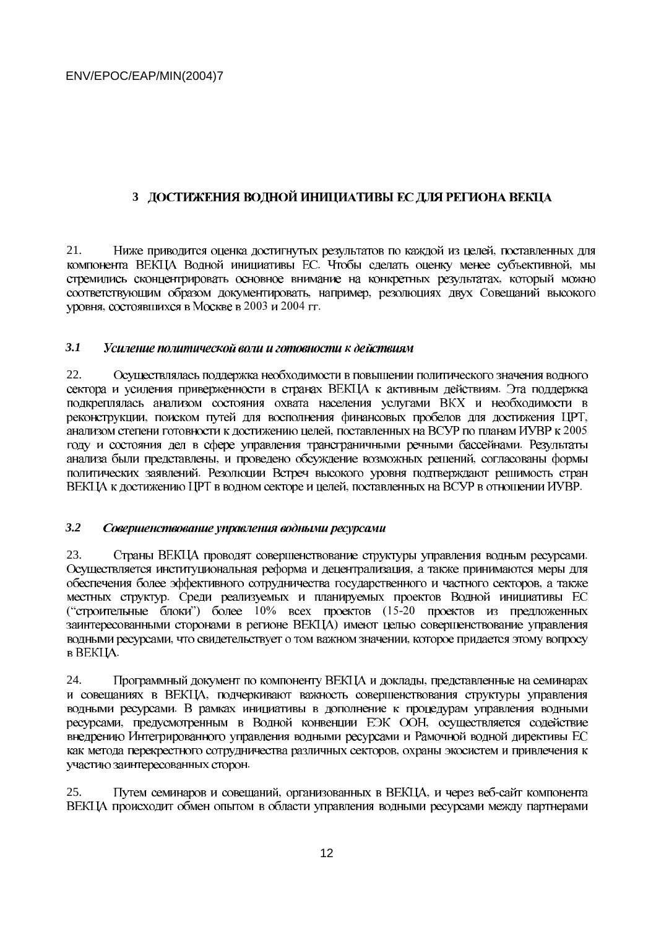# **3 ДОСТИЖЕНИЯ ВОДНОЙ ИНИЦИАТИВЫ ЕС ДЛЯ РЕГИОНА ВЕКЦА**

21. Ниже приводится оценка достигнутых результатов по каждой из целей, питобы сделать оценку менее субъективной, - , например, , состоявшихся в Москве в 2003 и 2004 гг.

#### *3.1*  Усиление политической воли и готовности к действиям

22. Осуществлялась поддержка необходимости в повышении политического значения водного подкреплялась анализом состояния охвата населения услугами ВКХ и необходимости в , поиском путей для восполнения финансовых пробелов для достижения ЦРТ, , поставленных на ВСУР по планам ИУВР к 2005 - , и проведено обсуждение возможных решений, - , поставленных на ВСУР в отношении ИУВР.

#### *3.2*  Совершенствование управления водными ресурсами

23. Страны ВЕКЦА проводят совершенствование структуры управления водным ресурсами. - - - ("строительные блоки") более 10% всех проектов (15-20  $\mathcal{E}$ , что свидетельствует о том важном значении, **в ВЕКЦА.** 

24. Программный документ по компоненту ВЕКЦА и доклады, - - , предусмотренным в Водной конвенции ЕЭК ООН, внедрению Интегрированного управления водными ресурсами и Рамочной водной директивы ЕС - -

25. Путем семинаров и совещаний, организованных в ВЕКЦА, и через веб-ВЕКЦА происходит обмен опытом в области управления водными ресурсами между партнерами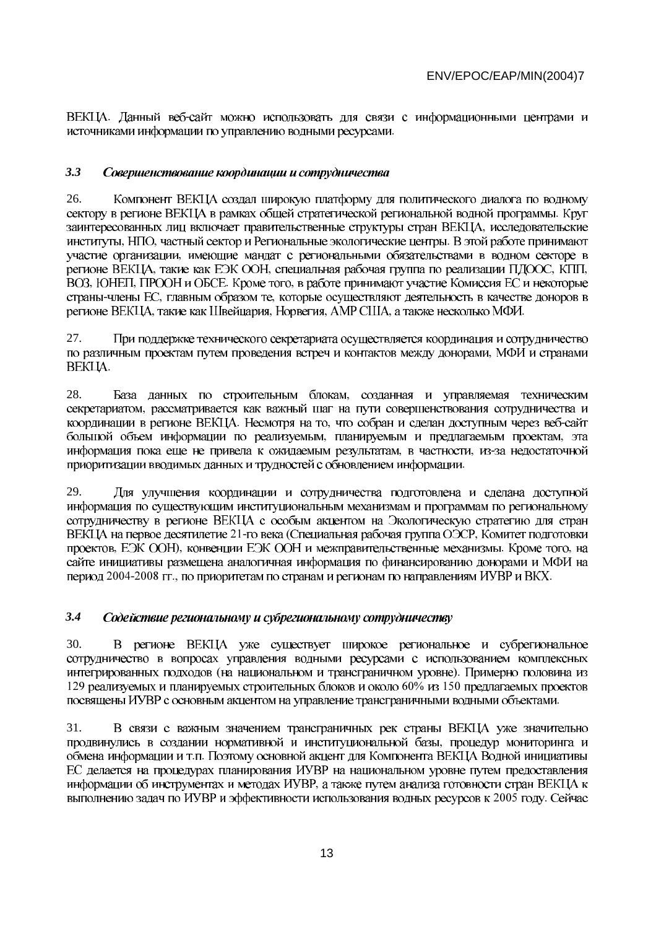. Данный веб--

#### *3.3*  Совершенствование координации и сотрудничества

26. Компонент ВЕКЦА создал широкую платформу для политического диалога по водному - - , НПО, частный сектор и Региональные экологические центры. - , такие как ЕЭК ООН, специальная рабочая группа по реализации ПДООС, КПП, , ЮНЕП, ПРООН и ОБСЕ. Кроме того, -члены ЕС, главным образом те, , такие как Швейцария, Норвегия, АМР США, а также несколько МФИ.

27. При поддержке технического секретариата осуществляется координация и сотрудничество - -

28. База данных по строительным блокам, - . Несмотря на то, что собран и сделан доступным через вебпланируемым и предлагаемым проектам, , в частности, изприоритизации вводимых данных и трудностей с обновлением информации.

29. Для улучшения координации и сотрудничества подготовлена и сделана доступной информация по существующим институциональным механизмам и программам по региональному сотрудничеству в регионе ВЕКЦА с особым акцентом на Экологическую стратегию для стран 21-го века (Специальная рабочая группа ОЭСР, , ЕЭК ООН), конвенции ЕЭК ООН и межправительственные механизмы. Кроме того, 2004-2008 гг., по приоритетам по странам и регионам по направлениям ИУВР и ВКХ.

#### *3.4*  Содействие региональному и субрегиональному сотрудничеству

30. В регионе ВЕКЦА уже существует широкое региональное и субрегиональное сотрудничество в вопросах управления водными ресурсами с использованием комплексных (на национальном и трансграничном уровне). 129 реализуемых и планируемых строительных блоков и около 60% из 150 -

31. В связи с важным значением трансграничных рек страны ВЕКЦА уже значительно - .П. ЕС делается на процедурах планирования ИУВР на национальном уровне путем предоставления - 2005 году.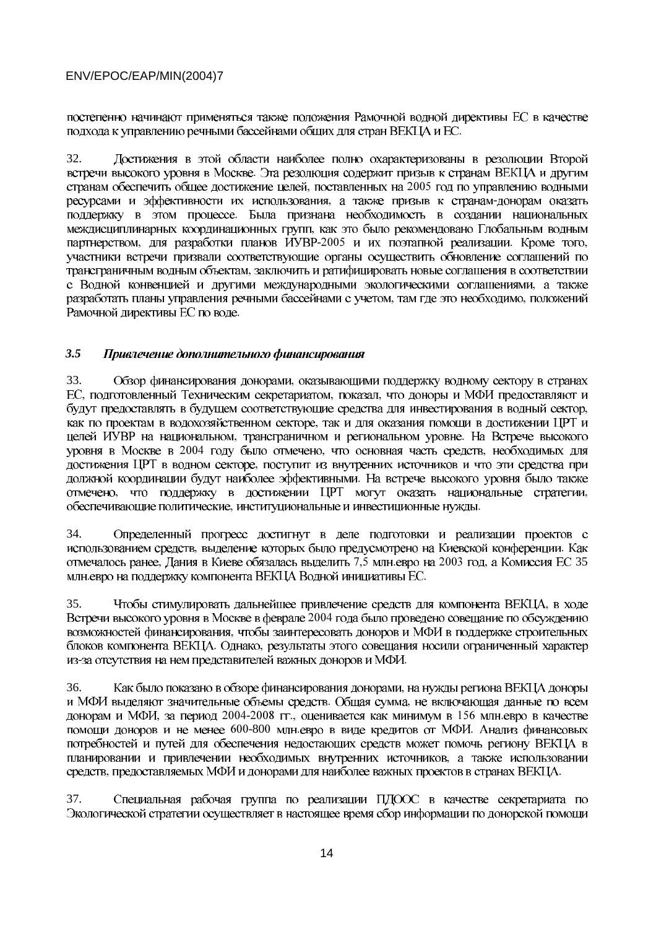постепенно начинают применяться также положения Рамочной водной директивы ЕС в качестве -

32. Достижения в этой области наиболее полно охарактеризованы в резолюции Второй поставленных на 2005 , а также призыв к странам-- - , для разработки планов ИУВР-2005 и их поэтапной реализации. Кроме того, участники встречи призвали соответствующие органы осуществить обновление соглашений по - - , там где это необходимо, -

#### *3.5*  Привлечение дополнительного финансирования

33. Обзор финансирования донорами, , подготовленный Техническим секретариатом, показал, - прансграничном и региональном уровне. 2004 году было отмечено, что основная часть средств, - - , что поддержку в достижении ЦРТ могут оказать национальные стратегии, , институциональные и инвестиционные нужды.

34. Определенный прогресс достигнут в деле подготовки и реализации проектов с , выделение которых было предусмотрено на Киевской конференции. , Дания в Киеве обязалась выделить 7,5 млн.евро на 2003 год, а Комиссия ЕС 35 млн.евро на поддержку компонента ВЕКЦА Водной инициативы ЕС.

35. Чтобы стимулировать дальнейшее привлечение средств для компонента ВЕКЦА, 2004 - . Однако, из-за отсутствия на нем представителей важных доноров и МФИ.

36. Как было показано в обзоре финансирования донорами, . Общая сумма, , за период 2004-2008 гг., оценивается как минимум в 156 млн. 600-800 млн.евро в виде кредитов от МФИ. потребностей и путей для обеспечения недостающих средств может помочь региону ВЕКЦА в - , предоставляемых МФИ и донорами для наиболее важных проектов в странах ВЕКЦА.

37.Специальная рабочая группа по реализации ПДООС в качестве секретариата по Экологической стратегии осуществляет в настоящее время сбор информации по донорской помощи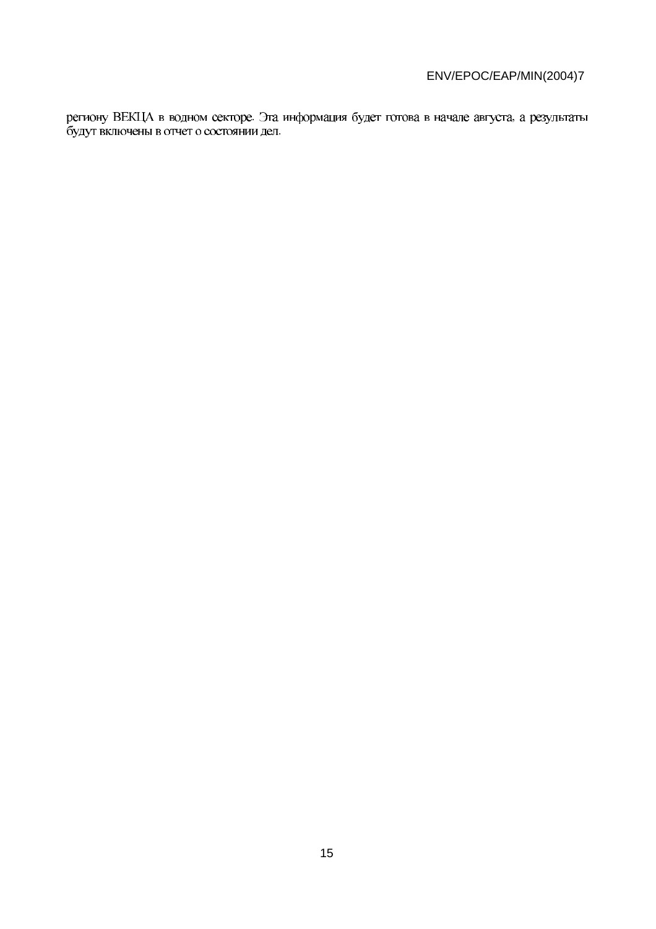региону ВЕКЦА в водном секторе. Эта информация будет готова в начале августа, а результаты будут включены в отчет о состоянии дел.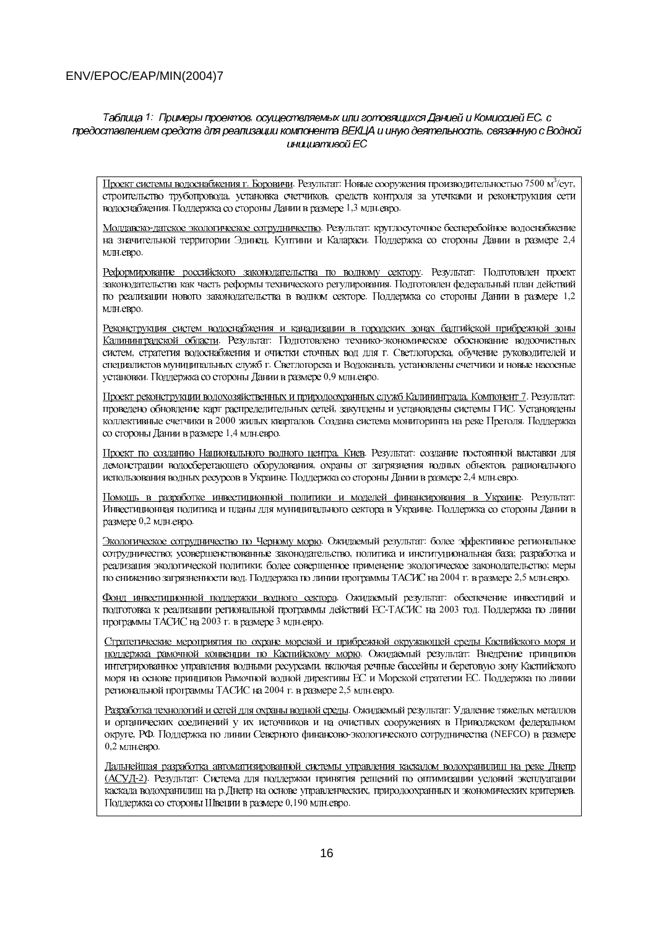#### Таблица 1: Примеры проектов, осуществляемых или готовящихся Данией и Комиссией ЕС, с предоставлением средств для реализации компонента BEKLIA и иную деятельность, связанную с Водной инишативой ЕС

Проект системы водоснабжения г. Боровичи. Результат: Новые сооружения производительностью 7500 м<sup>3</sup>/сут, строительство трубопровода, установка счетчиков, средств контроля за утечками и реконструкция сети водоснабжения. Поддержка со стороны Дании в размере 1,3 млн.евро.

Молдавско-датское экологическое сотрудничество. Результат: круглосуточное бесперебойное водоснабжение на значительной территории Эдинец, Куптини и Калараси. Поддержка со стороны Дании в размере 2,4 млн.евро.

Реформирование российского законолательства по водному сектору. Результат: Подготовлен проект законодательства как часть реформы технического регулирования. Подготовлен федеральный план действий по реализации нового законодательства в водном секторе. Поддержка со стороны Дании в размере 1,2 MJH.eRDO.

Реконструкция систем водоснабжения и канализации в городских зонах балтийской прибрежной зоны Калининградской области. Результат: Подготовлено технико-экономическое обоснование водоочистных систем, стратегия водоснабжения и очистки сточных вод для г. Светлогорска, обучение руководителей и специалистов муниципальных служб г. Светлогорска и Водоканала, установлены счетчики и новые насосные установки. Поддержка со стороны Дании в размере 0,9 млн.евро.

Проект реконструкции водохозяйственных и природоохранных служб Калининграда, Компонент 7. Результат: проведено обновление карт распределительных сетей, закуплены и установлены системы ГИС. Установлены коллективные счетчики в 2000 жилых кварталов. Создана система мониторинга на реке Преголя. Поддержка со стороны Дании в размере 1,4 млн.евро.

Проект по созданию Национального водного центра. Киев. Результат: создание постоянной выставки для демонстрации водосберегающего оборудования, охраны от загрязнения водных объектов, рационального использования водных ресурсов в Украине. Поддержка со стороны Дании в размере 2,4 млн.евро.

Помощь в разработке инвестиционной политики и моделей финансирования в Украине. Результат: Инвестиционная политика и планы для муниципального сектора в Украине. Поддержка со стороны Дании в размере 0,2 млн.евро.

Экологическое сотрудничество по Черному морю. Ожидаемый результат: более эффективное региональное сотрудничество; усовершенствованные законодательство, политика и институциональная база; разработка и реализация экологической политики; более совершенное применение экологическое законодательство; меры по снижению загрязненности вол. Поллержка по линии программы ТАСИС на 2004 г. в размере 2,5 млн.евро.

Фонд инвестиционной поддержки водного сектора. Ожидаемый результат: обеспечение инвестиций и подготовка к реализации региональной программы действий ЕС-ТАСИС на 2003 год. Поддержка по линии программы ТАСИС на 2003 г. в размере 3 млн.евро.

Стратегические мероприятия по охране морской и прибрежной окружающей среды Каспийского моря и поддержка рамочной конвенции по Каспийскому морю. Ожидаемый результат: Внедрение принципов интегрированное управления водными ресурсами, включая речные бассейны и береговую зону Каспийского моря на основе принципов Рамочной водной директивы ЕС и Морской стратегии ЕС. Поддержка по линии региональной программы ТАСИС на 2004 г. в размере 2,5 млн.евро.

Разработка технологий и сетей для охраны водной среды. Ожидаемый результат: Удаление тяжелых металлов и органических соединений у их источников и на очистных сооружениях в Приволжском федеральном округе, РФ. Поддержка по линии Северного финансово-экологического сотрудничества (NEFCO) в размере 0,2 млн.евро.

Дальнейшая разработка автоматизированной системы управления каскалом волохранилищ на реке Днепр (АСУД-2). Результат: Система для поддержки принятия решений по оптимизации условий эксплуатации каскада водохранилищ на р.Днепр на основе управленческих, природоохранных и экономических критериев. Поддержка со стороны Швеции в размере 0,190 млн.евро.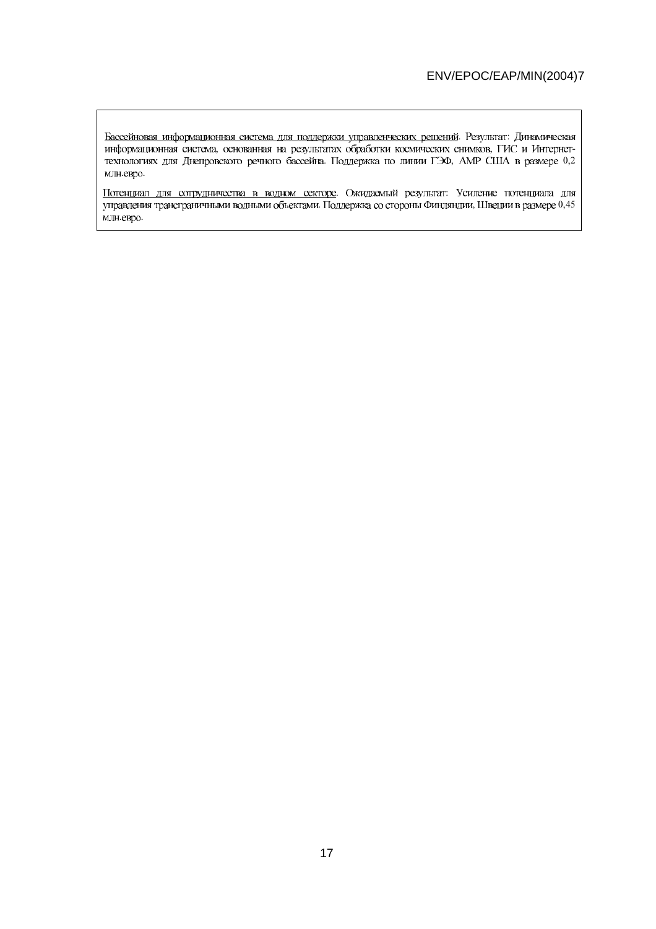. Результат: , основанная на результатах обработки космических снимков, ГИС и Интернет-. Поддержка по линии ГЭФ, АМР США в размере 0,2 млн.евро.

. Ожидаемый результат: л Поддержка со стороны Финляндии, Швеции в размере 0,45 млн.евро.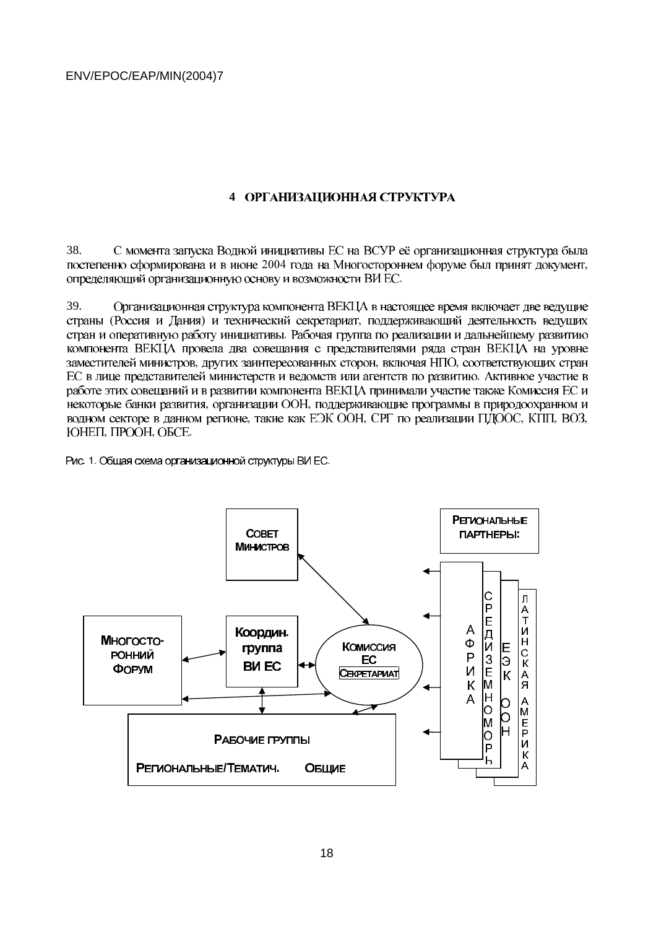# **4**

С момента запуска Водной инициативы ЕС на ВСУР её организационная структура была 38. 2004 года на Многостороннем форуме был принят документ, определяющий организационную основу и возможности ВИ ЕС.

39. Организационная структура компонента ВЕКЦА в настоящее время включает две ведущие (Россия и Дания) и технический секретариат, компонента ВЕКЦА провела два совещания с представителями ряда стран ВЕКЦА на уровне , других заинтересованных сторон, включая НПО, работе этих совещаний и в развитии компонента ВЕКЦА принимали участие также Комиссия ЕС и , организации ООН, , такие как ЕЭК ООН, СРГ по реализации ПДООС, КПП, ВОЗ, , ITPOOH, OBCE.

. 1. Общая схема организационной структуры ВИ ЕС.

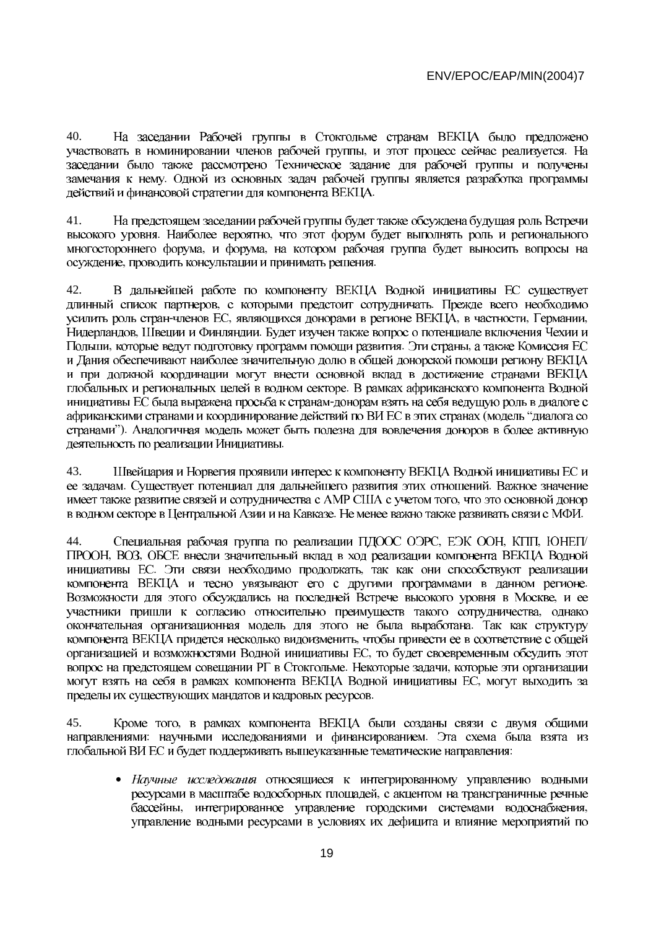40. На заседании Рабочей группы в Стокгольме странам ВЕКЦА было предложено , и этот процесс сейчас реализуется. заседании было также рассмотрено Техническое задание для рабочей группы и получены - -

41. На предстоящем заседании рабочей группы будет также обсуждена будущая роль Встречи . Наиболее вероятно, , и форума, проводить консультации и принимать решения.

42. В дальнейшей работе по компоненту ВЕКЦА Водной инициативы ЕС существует , с которыми предстоит сотрудничать. -членов ЕС, являющихся донорами в регионе ВЕКЦА, в частности, Германии, , Швеции и Финляндии. , которые ведут подготовку программ помощи развития. Эти страны, и Дания обеспечивают наиболее значительную долю в общей донорской помощи региону ВЕКЦА и при должной координации могут внести основной вклад в достижение странами ВЕКЦА инициативы ЕС была выражена просьба к странам-донорам взять на себя ведущую роль в диалоге с подель" "). -

Швейцария и Норвегия проявили интерес к компоненту ВЕКЦА Водной инициативы ЕС и 43. Существует потенциал для дальнейшего развития этих отношений. - . Не менее важно также развивать связи с МФИ.

44. Специальная рабочая группа по реализации ПДООС ОЭРС, ЕЭК ООН, КПП, ЮНЕП/ , BO3, . Эти связи необходимо продолжать, - - - - - - . Некоторые задачи, - -

45. Кроме того, : научными исследованиями и финансированием. глобальной ВИ ЕС и будет поддерживать вышеуказанные тематические направления:

 $\bullet$  интегрированное управление городскими системами водоснабжения, управление водными ресурсами в условиях их дефицита и влияние мероприятий по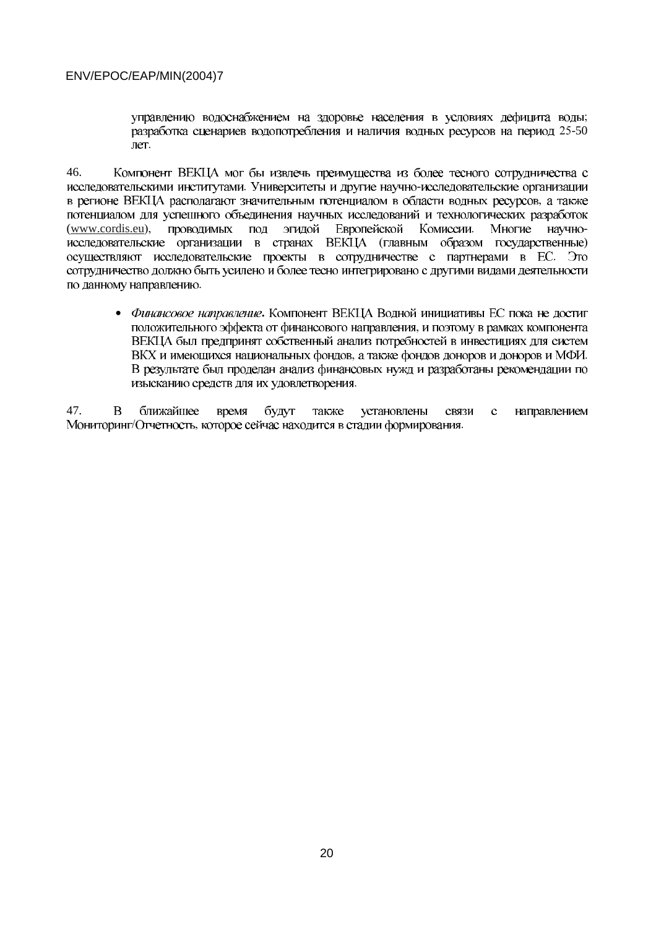-  $25 - 50$ лет.

46. Компонент ВЕКЦА мог бы извлечь преимущества из более тесного сотрудничества с . Университеты и другие научно- потенциалом для успешного объединения научных исследований и технологических разработок  $(www.cordis.eu)$ , проводимых под эгидой Европейской Комиссии. Многие научно-(главным образом государственные) сотрудничество должно быть усилено и более тесно интегрировано с другими видами деятельности по данному направлению.

• Финансовое направление. - ВЕКЦА был предпринят собственный анализ потребностей в инвестициях для систем , а также фондов доноров и доноров и МФИ. В результате был проделан анализ финансовых нужд и разработаны рекомендации по изысканию средств для их удовлетворения.

47.  $\overline{B}$ ближайшее будут время также установлены связи направлением  $\mathbf{c}$ Отчетность, которое сейчас находится в стадии формирования.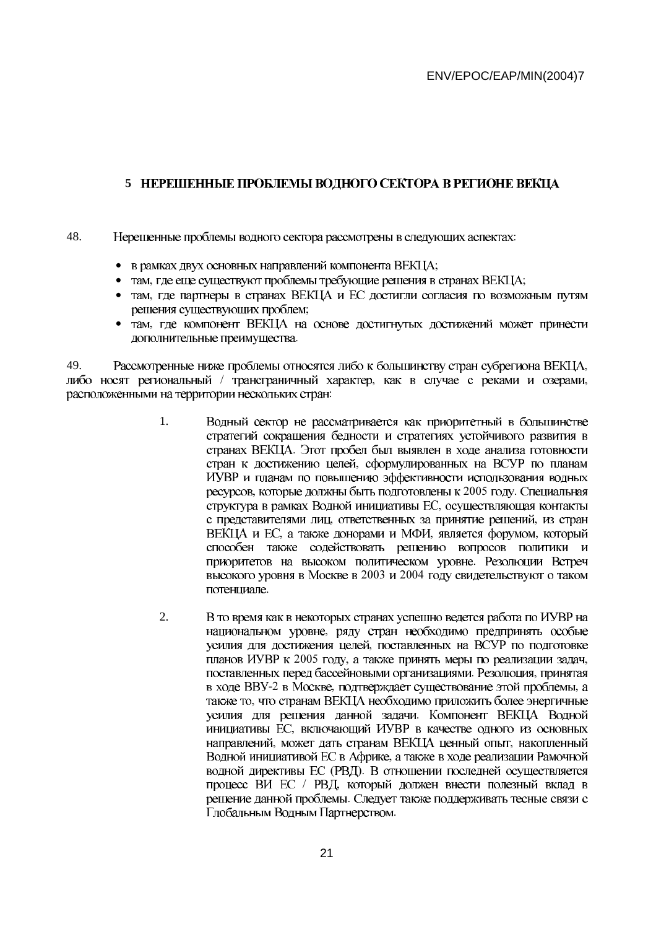## 5 НЕРЕШЕННЫЕ ПРОБЛЕМЫ ВОДНОГО СЕКТОРА В РЕГИОНЕ ВЕКЦА

- 48. Нерешенные проблемы водного сектора рассмотрены в следующих аспектах:
	- в рамках двух основных направлений компонента ВЕКЦА;
	- там, где еще существуют проблемы требующие решения в странах ВЕКЦА;
	- там, где партнеры в странах ВЕКЦА и ЕС достигли согласия по возможным путям решения сушествующих проблем:
	- там, где компонент ВЕКЦА на основе достигнутых достижений может принести дополнительные преимущества.

49. Рассмотренные ниже проблемы относятся либо к большинству стран субрегиона ВЕКЦА, либо носят региональный / трансграничный характер, как в случае с реками и озерами, расположенными на территории нескольких стран:

- $\mathbf{1}$ Водный сектор не рассматривается как приоритетный в большинстве стратегий сокращения бедности и стратегиях устойчивого развития в странах ВЕКЦА. Этот пробел был выявлен в ходе анализа готовности стран к достижению целей, сформулированных на ВСУР по планам ИУВР и планам по повышению эффективности использования водных ресурсов, которые должны быть подготовлены к 2005 году. Специальная структура в рамках Водной инициативы ЕС, осуществляющая контакты с представителями лиц, ответственных за принятие решений, из стран ВЕКЦА и ЕС, а также донорами и МФИ, является форумом, который способен также содействовать решению вопросов политики и приоритетов на высоком политическом уровне. Резолюции Встреч высокого уровня в Москве в 2003 и 2004 году свидетельствуют о таком потенциале
- $2.$ В то время как в некоторых странах успешно ведется работа по ИУВР на национальном уровне, ряду стран необходимо предпринять особые усилия для достижения целей, поставленных на ВСУР по подготовке планов ИУВР к 2005 году, а также принять меры по реализации задач, поставленных перед бассейновыми организациями. Резолюция, принятая в ходе ВВУ-2 в Москве, подтверждает существование этой проблемы, а также то, что странам ВЕКЦА необходимо приложить более энергичные усилия для решения данной задачи. Компонент ВЕКЦА Водной инициативы EC, включающий ИУВР в качестве одного из основных направлений, может дать странам ВЕКЦА ценный опыт, накопленный Водной инициативой ЕС в Африке, а также в ходе реализации Рамочной водной директивы ЕС (РВД). В отношении последней осуществляется процесс ВИ ЕС / РВД, который должен внести полезный вклад в решение данной проблемы. Следует также поддерживать тесные связи с Глобальным Водным Партнерством.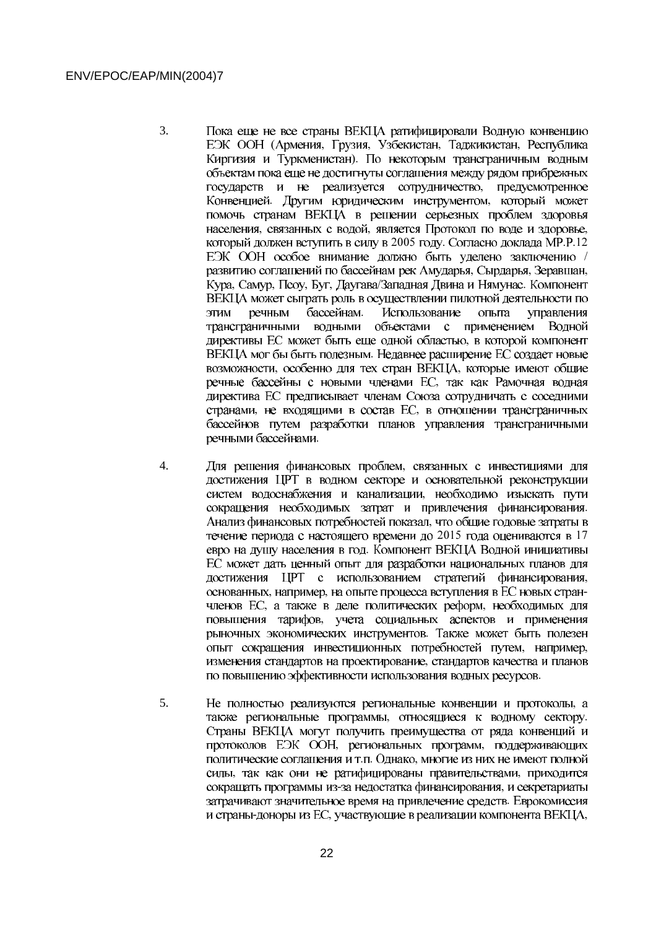- $\overline{3}$ . Пока еще не все страны ВЕКЦА ратифицировали Водную конвенцию ЕЭК ООН (Армения, Грузия, Узбекистан, Таджикистан, Республика Киргизия и Туркменистан). По некоторым трансграничным водным объектам пока еще не достигнуты соглашения между рядом прибрежных государств и не реализуется сотрудничество, предусмотренное Конвенцией. Другим юридическим инструментом, который может помочь странам ВЕКЦА в решении серьезных проблем здоровья населения, связанных с водой, является Протокол по воде и здоровье, который должен вступить в силу в 2005 году. Согласно доклада МР.Р.12 ЕЭК ООН особое внимание должно быть уделено заключению / развитию соглашений по бассейнам рек Амударья, Сырдарья, Зеравшан, Кура, Самур, Псоу, Буг, Даугава/Западная Двина и Нямунас. Компонент ВЕКЦА может сыграть роль в осуществлении пилотной деятельности по речным бассейнам. Использование опыта управления **ALLE** трансграничными водными объектами с применением Водной директивы ЕС может быть еще одной областью, в которой компонент ВЕКЦА мог бы быть полезным. Недавнее расширение ЕС создает новые возможности, особенно для тех стран ВЕКЦА, которые имеют общие речные бассейны с новыми членами ЕС, так как Рамочная водная директива ЕС предписывает членам Союза сотрудничать с соседними странами, не входящими в состав ЕС, в отношении трансграничных бассейнов путем разработки планов управления трансграничными речными бассейнами.
- $\overline{4}$ . Для решения финансовых проблем, связанных с инвестициями для достижения ЦРТ в водном секторе и основательной реконструкции систем водоснабжения и канализации, необходимо изыскать пути сокращения необходимых затрат и привлечения финансирования. Анализ финансовых потребностей показал, что общие годовые затраты в течение периода с настоящего времени до 2015 года оцениваются в 17 евро на душу населения в год. Компонент ВЕКЦА Водной инициативы ЕС может дать ценный опыт для разработки национальных планов для достижения ЦРТ с использованием стратегий финансирования, основанных, например, на опыте процесса вступления в ЕС новых странчленов ЕС, а также в деле политических реформ, необходимых для повышения тарифов, учета социальных аспектов и применения рыночных экономических инструментов. Также может быть полезен опыт сокращения инвестиционных потребностей путем, например, изменения стандартов на проектирование, стандартов качества и планов по повышению эффективности использования водных ресурсов.
- 5. Не полностью реализуются региональные конвенции и протоколы, а также региональные программы, относящиеся к водному сектору. Страны ВЕКЦА могут получить преимущества от ряда конвенций и протоколов ЕЭК ООН, региональных программ, поддерживающих политические соглашения и т.п. Однако, многие из них не имеют полной силы, так как они не ратифицированы правительствами, приходится сокращать программы из-за недостатка финансирования, и секретариаты затрачивают значительное время на привлечение средств. Еврокомиссия и страны-доноры из ЕС, участвующие в реализации компонента ВЕКЦА,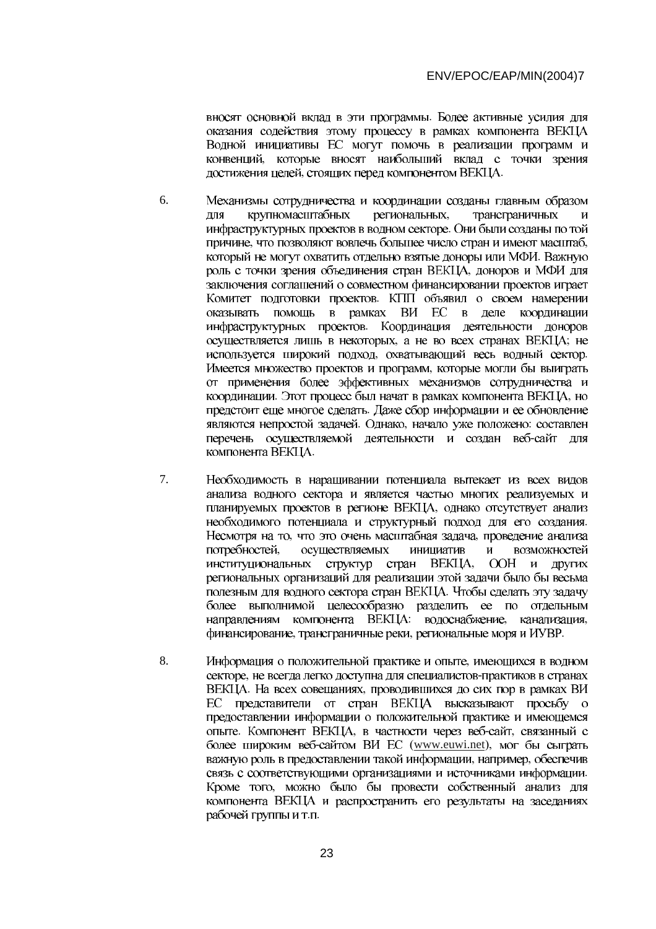оказания содействия этому процессу в рамках компонента ВЕКЦА Водной инициативы ЕС могут помочь в реализации программ и - , стоящих перед компонентом ВЕКЦА.

- 6. Механизмы сотрудничества и координации созданы главным образом для трансграничных крупномасштабных - , что позволяют вовлечь большее число стран и имеют масштаб, - заключения соглашений о совместном финансировании проектов играет оказывать помощь в рамках ВИ ЕС в деле координации - , а не во всех странах ВЕКЦА; , охватывающий весь водный сектор. от применения более эффективных механизмов сотрудничества и . Этот процесс был начат в рамках компонента ВЕКЦА, - . Однако, начало уже положено: перечень осуществляемой деятельности и создан веб-сайт для компонента ВЕКЦА.
- 7. Необходимость в наращивании потенциала вытекает из всех видов анализа водного сектора и является частью многих реализуемых и - - , что это очень масштабная задача, -  $\overline{M}$ осуществляемых инициатив возможностей институциональных структур стран и других региональных организаций для реализации этой задачи было бы весьма более выполнимой целесообразно разделить ее по отдельным : водоснабжение, канализация, , трансграничные реки, региональные моря и ИУВР.
- 8. Информация о положительной практике и опыте, не всегда легко доступна для специалистов-. На всех совещаниях, ЕС представители от стран ВЕКЦА высказывают просьбу о предоставлении информации о положительной практике и имеющемся . Компонент ВЕКЦА, в частности через веб-сайт, -сайтом ВИ ЕС (www.euwi.net), , например, - компонента ВЕКЦА и распространить его результаты на заседаниях рабочей группы и т.п.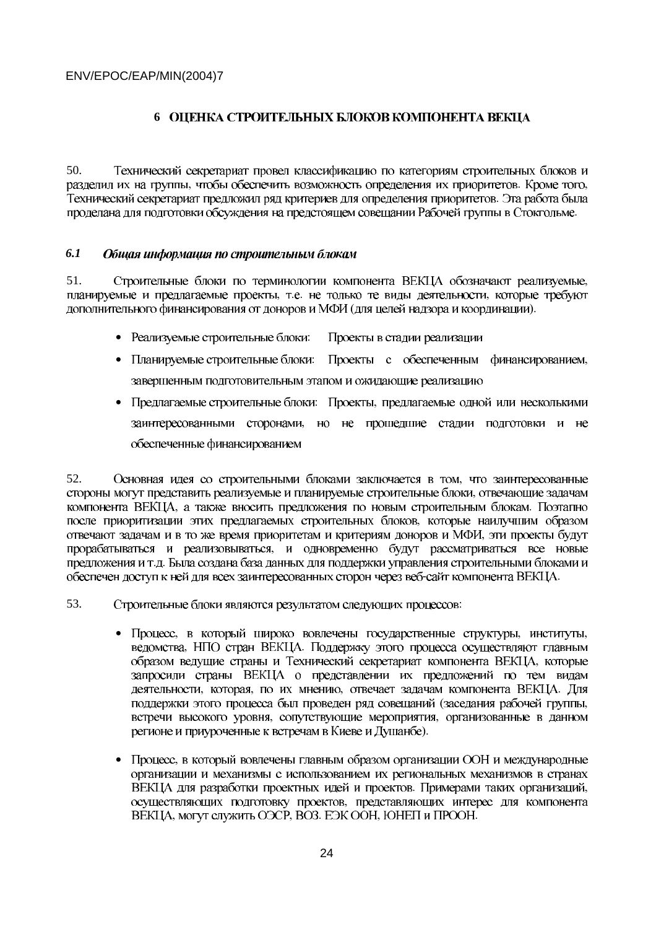## **6 ОПЕНКА СТРОИТЕЛЬНЫХ БЛОКОВ КОМПОНЕНТА ВЕКЦА**

50. Технический секретариат провел классификацию по категориям строительных блоков и , чтобы обеспечить возможность определения их приоритетов. Кроме того, - -

#### *6.1*  Общая информация по строительным блокам

51. Строительные блоки по терминологии компонента ВЕКЦА обозначают реализуемые, , т.е. не только те виды деятельности, (для целей надзора и координации).

- Реализуемые строительные блоки: Проекты в стадии реализации
- Планируемые строительные блоки: Проекты с обеспеченным финансированием, завершенным подготовительным этапом и ожидающие реализацию
- Предлагаемые строительные блоки: Проекты, обеспеченные финансированием

52. Основная идея со строительными блоками заключается в том, - , а также вносить предложения по новым строительным блокам. - .<br>, - .д. обеспечен доступ к ней для всех заинтересованных сторон через веб-сайт компонента ВЕКЦА.

53. Строительные блоки являются результатом следующих процессов:

- Процесс, в который широко вовлечены государственные структуры, институты, , НПО стран ВЕКЦА. запросили страны ВЕКЦА о представлении их предложений по тем видам , которая, по их мнению, отвечает задачам компонента ВЕКЦА. (заседания рабочей группы, , сопутствующие мероприятия, регионе и приуроченные к встречам в Киеве и Душанбе).
- $\bullet$  организации и механизмы с использованием их региональных механизмов в странах . Примерами таких организаций, - , могут служить ОЭСР, ВОЗ. ЕЭК ООН, ЮНЕП и ПРООН.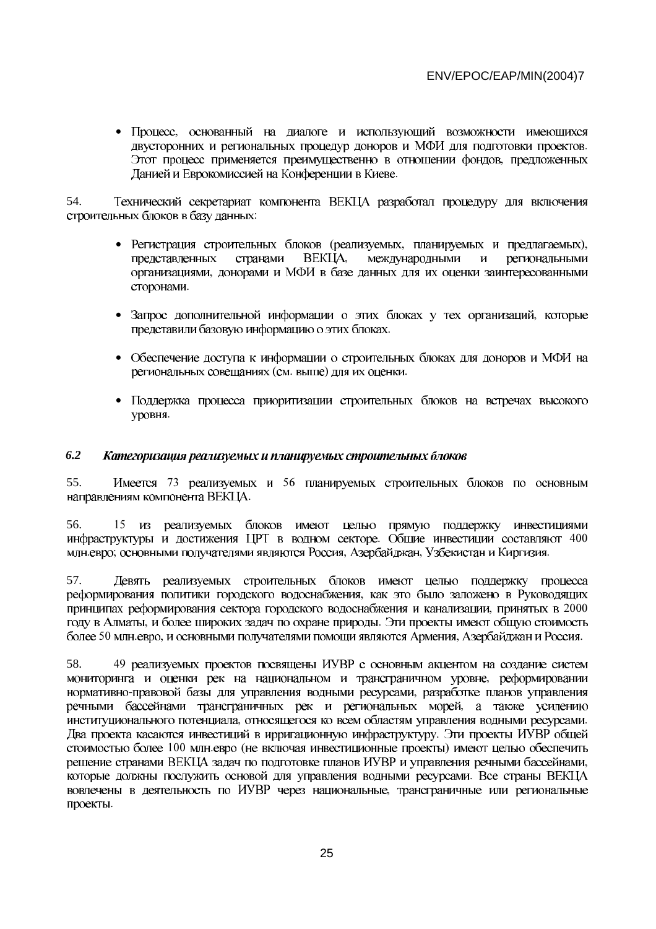- - - - Данией и Еврокомиссией на Конференции в Киеве.

54. Технический секретариат компонента ВЕКЦА разработал процедуру для включения строительных блоков в базу данных:

- Регистрация строительных блоков (реализуемых, планируемых и предлагаемых), представленных странами международными  $\overline{M}$ региональными - -
- Запрос дополнительной информации о этих блоках у тех организаций, представили базовую информацию о этих блоках.
- $\bullet$ (см. выше) для их оценки.
- $\bullet$ уровня.

#### *6.2*  Категоризация реализуемых и планируемых строительных блоков

55. Имеется 73 реализуемых и 56 направлениям компонента ВЕКЦА.

56. 15 . Общие инвестиции составляют 400 евро; основными получателями являются Россия, Азербайджан, Узбекистан и Киргизия.

57. Девять реализуемых строительных блоков имеют целью поддержку процесса - , принятых в 2000 , и более широких задач по охране природы. 50 млн.евро, и основными получателями помощи являются Армения, Азербайджан и Россия.

58. 49 - -правовой базы для управления водными ресурсами, - , относящегося ко всем областям управления водными ресурсами. - 100 млн.евро (не включая инвестиционные проекты) - - проекты.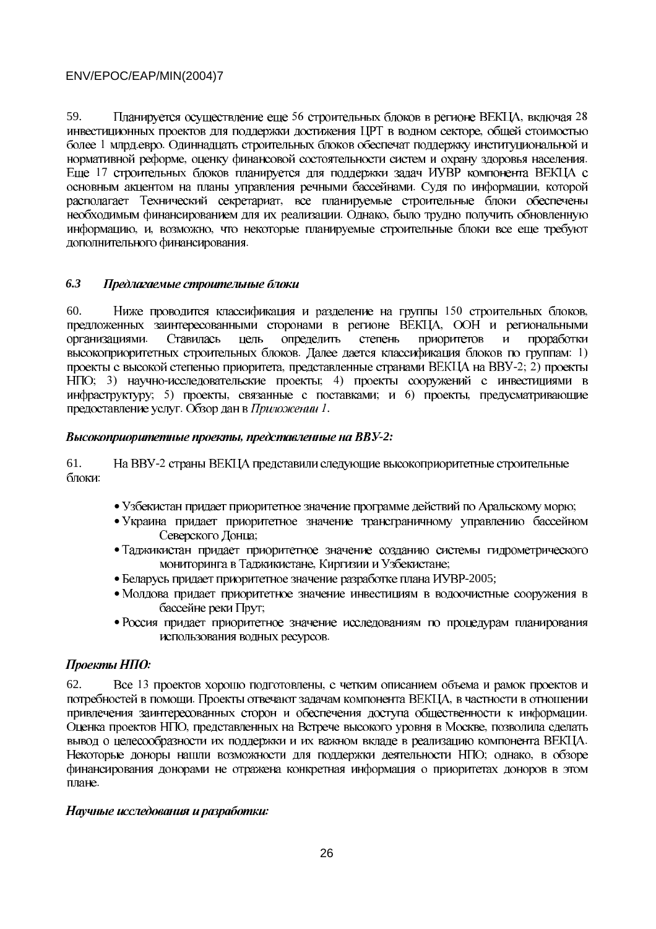59. Планируется осуществление еще 56 строительных блоков в регионе ВЕКЦА, включая 28 инвестиционных проектов для поддержки достижения ЦРТ в водном секторе, общей стоимостью более 1 млрд.евро. Одиннадцать строительных блоков обеспечат поддержку институциональной и нормативной реформе, оценку финансовой состоятельности систем и охрану здоровья населения. Еще 17 строительных блоков планируется для поддержки задач ИУВР компонента ВЕКЦА с основным акцентом на планы управления речными бассейнами. Судя по информации, которой располагает Технический секретариат, все планируемые строительные блоки обеспечены необходимым финансированием для их реализации. Однако, было трудно получить обновленную информацию, и, возможно, что некоторые планируемые строительные блоки все еще требуют дополнительного финансирования.

#### $6.3$ Предлагаемые строительные блоки

 $60<sub>1</sub>$ Ниже проводится классификация и разделение на группы 150 строительных блоков, предложенных заинтересованными сторонами в регионе ВЕКЦА, ООН и региональными организациями. Ставилась цель определить степень приоритетов и проработки высокоприоритетных строительных блоков. Далее дается классификация блоков по группам: 1) проекты с высокой степенью приоритета, представленные странами ВЕКЦА на ВВУ-2; 2) проекты НПО; 3) научно-исследовательские проекты; 4) проекты сооружений с инвестициями в инфраструктуру; 5) проекты, связанные с поставками; и 6) проекты, предусматривающие предоставление услуг. Обзор дан в Приложении 1.

## Высокоприоритетные проекты, представленные на ВВУ-2:

61. На ВВУ-2 страны ВЕКЦА представили следующие высокоприоритетные строительные блоки:

- Узбекистан придает приоритетное значение программе действий по Аральскому морю;
- Украина придает приоритетное значение трансграничному управлению бассейном Северского Донца;
- Таджикистан придает приоритетное значение созданию системы гидрометрического мониторинга в Таджикистане, Киргизии и Узбекистане;
- Беларусь придает приоритетное значение разработке плана ИУВР-2005;
- Молдова придает приоритетное значение инвестициям в водоочистные сооружения в бассейне реки Прут;
- Россия придает приоритетное значение исследованиям по процедурам планирования использования водных ресурсов.

## Проекты НПО:

62 Все 13 проектов хорошо подготовлены, с четким описанием объема и рамок проектов и потребностей в помощи. Проекты отвечают задачам компонента ВЕКЦА, в частности в отношении привлечения заинтересованных сторон и обеспечения доступа общественности к информации. Оценка проектов НПО, представленных на Встрече высокого уровня в Москве, позволила сделать вывод о целесообразности их поддержки и их важном вкладе в реализацию компонента ВЕКЦА. Некоторые доноры нашли возможности для поддержки деятельности НПО; однако, в обзоре финансирования донорами не отражена конкретная информация о приоритетах доноров в этом плане.

## Научные исследования и разработки: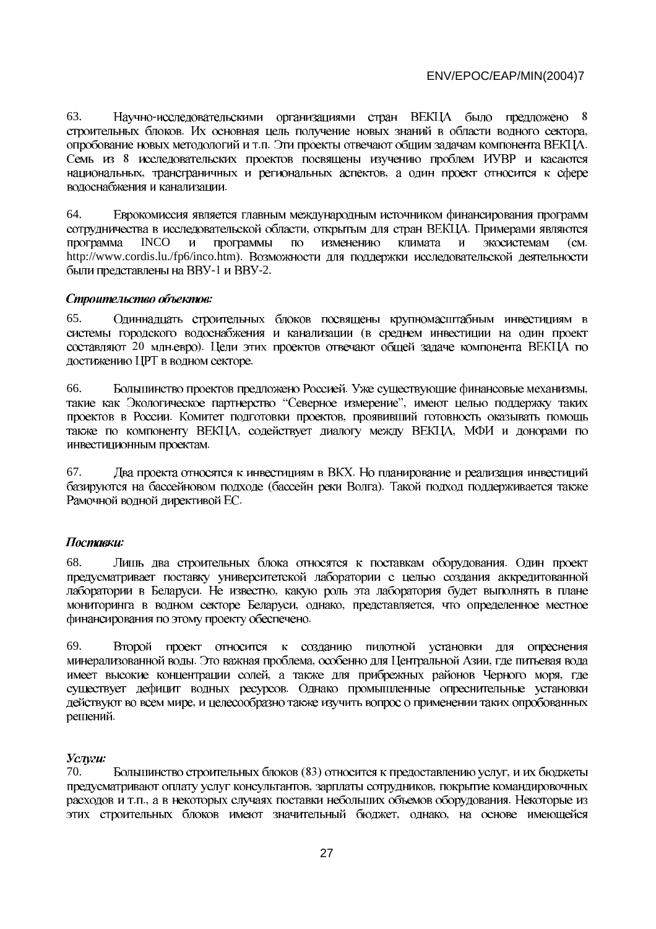63. Научно-исследовательскими организациями стран ВЕКЦА было предложено 8 их основная цель получение новых знаний в области водного сектора, л. Эти проекты отвечают общим задачам компонента ВЕКЦА. 8 , трансграничных и региональных аспектов, -

64. Еврокомиссия является главным международным источником финансирования программ , открытым для стран ВЕКЦА. программа INCO и программы по изменению климата и экосистемам (см. http://www.cordis.lu./fp6/inco.htm). -1 и BBУ-2.

#### Строительство объектов:

65. Одиннадцать строительных блоков посвящены крупномасштабным инвестициям в  $\cdot$  (  $20$  млн.евро). достижению ЦРТ в водном секторе.

66. Большинство проектов предложено Россией. Уже существующие финансовые механизмы, "Северное измерение", . Комитет подготовки проектов, , содействует диалогу между ВЕКЦА, -

67. Два проекта относятся к инвестициям в ВКХ. (бассейн реки Волга). -

## Поставки:

68. Лишь два строительных блока относятся к поставкам оборудования. предусматривает поставку университетской лаборатории с целью создания аккредитованной . Не известно, , однако, представляется, -

69. проект относится к созданию пилотной установки для опреснения **Второй** . Это важная проблема, особенно для Центральной Азии, , а также для прибрежных районов Черного моря, - решений.

#### Услуги:

70. Большинство строительных блоков (83) относится к предоставлению услуг, , зарплаты сотрудников, л., а в некоторых случаях поставки небольших объемов оборудования. , однако,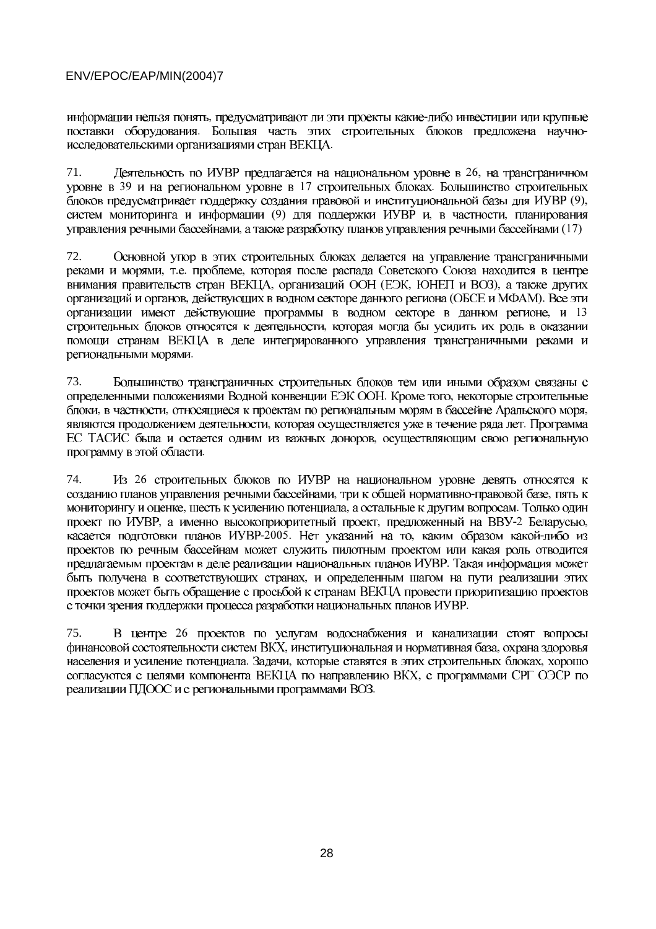информации нельзя понять, предусматривают ли эти проекты какие-либо инвестиции или крупные поставки оборудования. Большая часть этих строительных блоков предложена научноисследовательскими организациями стран ВЕКЦА.

71. Деятельность по ИУВР предлагается на национальном уровне в 26, на трансграничном уровне в 39 и на региональном уровне в 17 строительных блоках. Большинство строительных блоков предусматривает поддержку создания правовой и институциональной базы для ИУВР (9), систем мониторинга и информации (9) для поддержки ИУВР и, в частности, планирования управления речными бассейнами, а также разработку планов управления речными бассейнами (17)

72. Основной упор в этих строительных блоках делается на управление трансграничными реками и морями, т.е. проблеме, которая после распада Советского Союза находится в центре внимания правительств стран ВЕКЦА, организаций ООН (ЕЭК, ЮНЕП и ВОЗ), а также других организаций и органов, действующих в водном секторе данного региона (ОБСЕ и МФАМ). Все эти организации имеют действующие программы в водном секторе в данном регионе, и 13 строительных блоков относятся к деятельности, которая могла бы усилить их роль в оказании помощи странам ВЕКЦА в деле интегрированного управления трансграничными реками и региональными морями.

73. Большинство трансграничных строительных блоков тем или иными образом связаны с определенными положениями Водной конвенции ЕЭК ООН. Кроме того, некоторые строительные блоки, в частности, относящиеся к проектам по региональным морям в бассейне Аральского моря, являются продолжением деятельности, которая осуществляется уже в течение ряда лет. Программа ЕС ТАСИС была и остается одним из важных доноров, осуществляющим свою региональную программу в этой области.

74. Из 26 строительных блоков по ИУВР на национальном уровне девять относятся к созданию планов управления речными бассейнами, три к общей нормативно-правовой базе, пять к мониторингу и оценке, шесть к усилению потенциала, а остальные к другим вопросам. Только один проект по ИУВР, а именно высокоприоритетный проект, предложенный на ВВУ-2 Беларусью, касается подготовки планов ИУВР-2005. Нет указаний на то, каким образом какой-либо из проектов по речным бассейнам может служить пилотным проектом или какая роль отводится предлагаемым проектам в деле реализации национальных планов ИУВР. Такая информация может быть получена в соответствующих странах, и определенным шагом на пути реализации этих проектов может быть обращение с просьбой к странам ВЕКЦА провести приоритизацию проектов с точки зрения поддержки процесса разработки национальных планов ИУВР.

75. В центре 26 проектов по услугам водоснабжения и канализации стоят вопросы финансовой состоятельности систем ВКХ, институциональная и нормативная база, охрана здоровья населения и усиление потенциала. Задачи, которые ставятся в этих строительных блоках, хорошо согласуются с целями компонента ВЕКЦА по направлению ВКХ, с программами СРГ ОЭСР по реализации ПДООС и с региональными программами ВОЗ.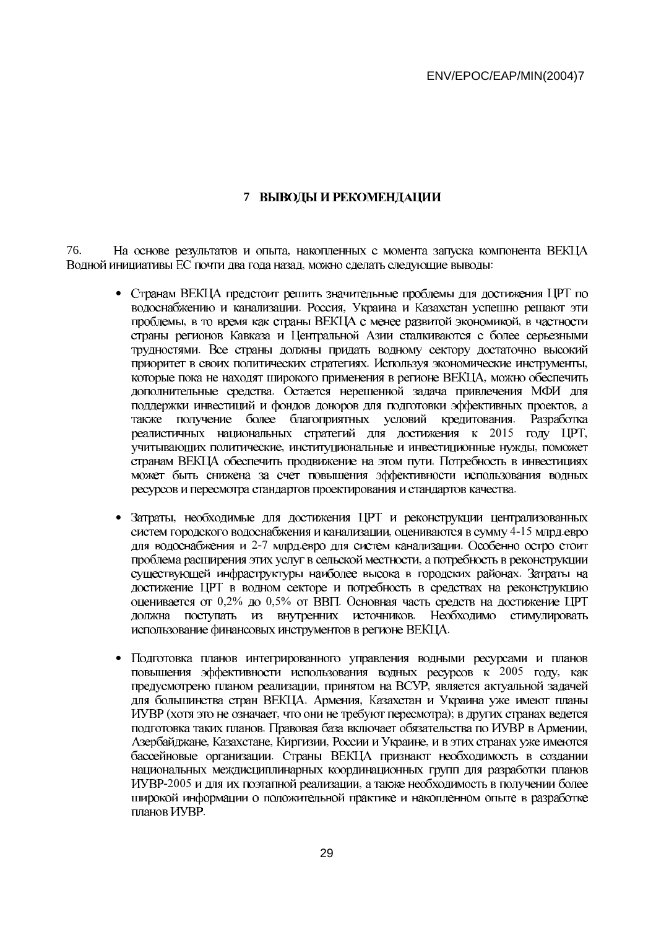## 7 ВЫВОДЫ И РЕКОМЕНДАЦИИ

На основе результатов и опыта, накопленных с момента запуска компонента ВЕКЦА 76. Водной инициативы ЕС почти два года назад, можно сделать следующие выводы:

- Странам ВЕКЦА предстоит решить значительные проблемы для достижения ЦРТ по водоснабжению и канализации. Россия, Украина и Казахстан успешно решают эти проблемы, в то время как страны ВЕКЦА с менее развитой экономикой, в частности страны регионов Кавказа и Центральной Азии сталкиваются с более серьезными трудностями. Все страны должны придать водному сектору достаточно высокий приоритет в своих политических стратегиях. Используя экономические инструменты, которые пока не находят широкого применения в регионе ВЕКЦА, можно обеспечить дополнительные средства. Остается нерешенной задача привлечения МФИ для поддержки инвестиций и фондов доноров для подготовки эффективных проектов, а также получение более благоприятных условий кредитования. Разработка реалистичных национальных стратегий для достижения к 2015 году ЦРТ, учитывающих политические, институциональные и инвестиционные нужды, поможет странам ВЕКЦА обеспечить продвижение на этом пути. Потребность в инвестициях может быть снижена за счет повышения эффективности использования водных ресурсов и пересмотра стандартов проектирования и стандартов качества.
- Затраты, необходимые для достижения ЦРТ и реконструкции централизованных систем городского водоснабжения и канализации, оцениваются в сумму 4-15 млрд.евро для водоснабжения и 2-7 млрд.евро для систем канализации. Особенно остро стоит проблема расширения этих услуг в сельской местности, а потребность в реконструкции существующей инфраструктуры наиболее высока в городских районах. Затраты на достижение ЦРТ в водном секторе и потребность в средствах на реконструкцию оценивается от 0,2% до 0,5% от ВВП. Основная часть средств на достижение ЦРТ должна поступать из внутренних источников. Необходимо стимулировать использование финансовых инструментов в регионе ВЕКЦА.
- Подготовка планов интегрированного управления водными ресурсами и планов  $\bullet$ повышения эффективности использования водных ресурсов к 2005 году, как предусмотрено планом реализации, принятом на ВСУР, является актуальной задачей для большинства стран ВЕКЦА. Армения, Казахстан и Украина уже имеют планы ИУВР (хотя это не означает, что они не требуют пересмотра); в других странах ведется подготовка таких планов. Правовая база включает обязательства по ИУВР в Армении, Азербайджане, Казахстане, Киргизии, России и Украине, и в этих странах уже имеются бассейновые организации. Страны ВЕКЦА признают необходимость в создании национальных междисциплинарных координационных групп для разработки планов ИУВР-2005 и для их поэтапной реализации, а также необходимость в получении более широкой информации о положительной практике и накопленном опыте в разработке планов ИУВР.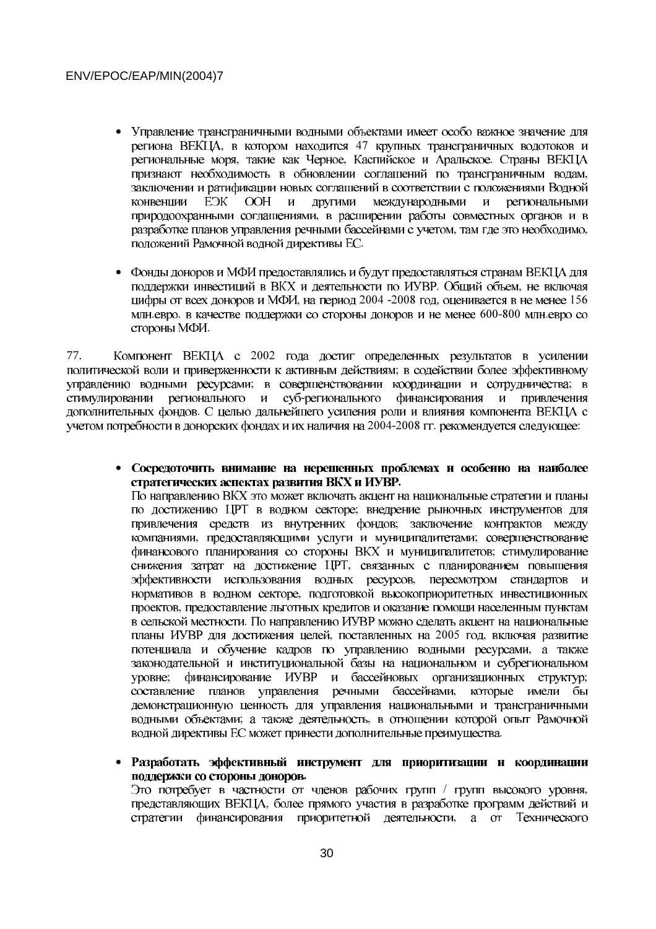- Управление трансграничными водными объектами имеет особо важное значение для региона ВЕКЦА, в котором находится 47 крупных трансграничных водотоков и региональные моря, такие как Черное, Каспийское и Аральское. Страны ВЕКЦА признают необходимость в обновлении соглашений по трансграничным водам, заключении и ратификации новых соглашений в соответствии с положениями Водной  $E\rightarrow K$ **OOH** другими международными конвеннии  $\mathbf{u}$  $\mathbf{M}$ региональными природоохранными соглашениями, в расширении работы совместных органов и в разработке планов управления речными бассейнами с учетом, там где это необходимо, положений Рамочной водной директивы ЕС.
- Фонды доноров и МФИ предоставлялись и будут предоставляться странам ВЕКЦА для поддержки инвестиций в ВКХ и деятельности по ИУВР. Общий объем, не включая цифры от всех доноров и МФИ, на период 2004 -2008 год, оценивается в не менее 156 млн.евро. в качестве поддержки со стороны доноров и не менее 600-800 млн.евро со стороны МФИ.

77. Компонент ВЕКЦА с 2002 года достиг определенных результатов в усилении политической воли и приверженности к активным действиям; в содействии более эффективному управлению водными ресурсами; в совершенствовании координации и сотрудничества; в стимулировании регионального суб-регионального финансирования  $\mathbf{H}$ и привлечения дополнительных фондов. С целью дальнейшего усиления роли и влияния компонента ВЕКЦА с учетом потребности в донорских фондах и их наличия на 2004-2008 гг. рекомендуется следующее:

• Сосредоточить внимание на нерешенных проблемах и особенно на наиболее стратегических аспектах развития ВКХ и ИУВР. По направлению ВКХ это может включать акцент на национальные стратегии и планы по достижению ЦРТ в водном секторе; внедрение рыночных инструментов для привлечения средств из внутренних фондов; заключение контрактов между компаниями, предоставляющими услуги и муниципалитетами; совершенствование финансового планирования со стороны ВКХ и муниципалитетов; стимулирование снижения затрат на достижение ЦРТ, связанных с планированием повышения эффективности использования водных ресурсов, пересмотром стандартов и нормативов в водном секторе, подготовкой высокоприоритетных инвестиционных проектов, предоставление льготных кредитов и оказание помощи населенным пунктам в сельской местности. По направлению ИУВР можно сделать акцент на национальные планы ИУВР для достижения целей, поставленных на 2005 год, включая развитие потенциала и обучение кадров по управлению водными ресурсами, а также законодательной и институциональной базы на национальном и субрегиональном финансирование ИУВР и бассейновых организационных структур; VDOBHe: составление планов управления речными бассейнами, которые имели бы демонстрационную ценность для управления национальными и трансграничными водными объектами; а также деятельность, в отношении которой опыт Рамочной водной директивы ЕС может принести дополнительные преимущества.

• Разработать эффективный инструмент для приоритизации и координации поддержки со стороны доноров. Это потребует в частности от членов рабочих групп / групп высокого уровня,

представляющих ВЕКЦА, более прямого участия в разработке программ действий и стратегии финансирования приоритетной деятельности, а от Технического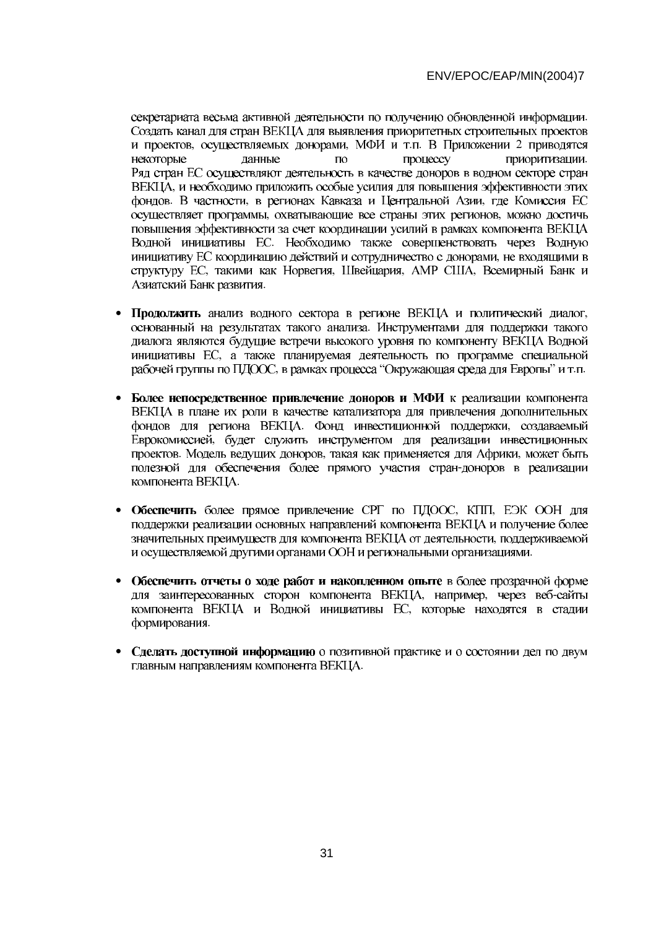секретариата весьма активной деятельности по получению обновленной информации. Создать канал для стран ВЕКЦА для выявления приоритетных строительных проектов и проектов, осуществляемых донорами, МФИ и т.п. В Приложении 2 приводятся некоторые данные процессу приоритизации.  $\mathsf{m}\alpha$ Ряд стран ЕС осуществляют деятельность в качестве доноров в водном секторе стран ВЕКЦА, и необходимо приложить особые усилия для повышения эффективности этих фондов. В частности, в регионах Кавказа и Центральной Азии, где Комиссия ЕС осуществляет программы, охватывающие все страны этих регионов, можно достичь повышения эффективности за счет координации усилий в рамках компонента ВЕКЦА Водной инициативы ЕС. Необходимо также совершенствовать через Водную инициативу ЕС координацию действий и сотрудничество с донорами, не входящими в структуру ЕС, такими как Норвегия, Швейцария, АМР США, Всемирный Банк и Азиатский Банк развития.

- Продолжить анализ водного сектора в регионе ВЕКЦА и политический диалог, основанный на результатах такого анализа. Инструментами для поддержки такого диалога являются будущие встречи высокого уровня по компоненту ВЕКЦА Водной инициативы ЕС, а также планируемая деятельность по программе специальной рабочей группы по ПДООС, в рамках процесса "Окружающая среда для Европы" и т.п.
- Более непосредственное привлечение доноров и МФИ к реализации компонента ВЕКЦА в плане их роли в качестве катализатора для привлечения дополнительных фондов для региона ВЕКЦА. Фонд инвестиционной поддержки, создаваемый Еврокомиссией, будет служить инструментом для реализации инвестиционных проектов. Модель ведущих доноров, такая как применяется для Африки, может быть полезной для обеспечения более прямого участия стран-доноров в реализации компонента ВЕКЦА.
- Обеспечить более прямое привлечение СРГ по ПДООС, КПП, ЕЭК ООН для поддержки реализации основных направлений компонента ВЕКЦА и получение более значительных преимуществ для компонента ВЕКЦА от деятельности, поддерживаемой и осуществляемой другими органами ООН и региональными организациями.
- Обеспечить отчеты о ходе работ и накопленном опыте в более прозрачной форме для заинтересованных сторон компонента ВЕКЦА, например, через веб-сайты компонента ВЕКЦА и Водной инициативы ЕС, которые находятся в стадии формирования.
- Сделать доступной информацию о позитивной практике и о состоянии дел по двум главным направлениям компонента ВЕКЦА.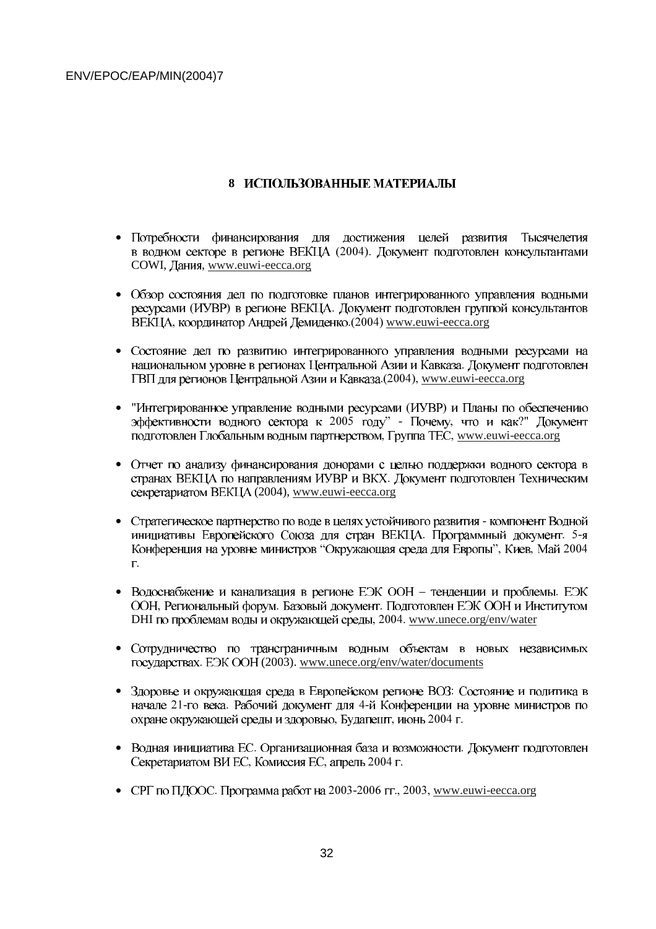## **8 ИСПОЛЬЗОВАННЫЕ МАТЕРИАЛЫ**

- $\bullet$  $(2004).$ COWI, Дания, www.euwi-eecca.org
- $\bullet$ (ИУВР) в регионе ВЕКЦА. , координатор Андрей Демиденко.(2004) www.euwi-eecca.org
- $\bullet$ - -www.euwi-eecca.org
- "Интегрированное управление водными ресурсами (ИУВР)  $2005$  году" - Почему, что и как?" , Группа ТЕС, www.euwi-eecca.org
- $\bullet$  секретариатом ВЕКЦА (2004), www.euwi-eecca.org
- Стратегическое партнерство по воде в целях устойчивого развития программный документ. 5-"Окружающая среда для Европы", Киев, Май 2004  $\Gamma$ .
- Водоснабжение и канализация в регионе ЕЭК ООН тенденции и проблемы. , Региональный форум. Базовый документ. DHI по проблемам воды и окружающей среды, 2004. www.unece.org/env/water
- $\bullet$ . EЭК ООН (2003). www.unece.org/env/water/documents
- Здоровье и окружающая среда в Европейском регионе ВОЗ: 21-го века. Рабочий документ для 4-, Будапешт, июнь 2004 г.
- Водная инициатива ЕС. Организационная база и возможности. , Комиссия ЕС, апрель 2004 г.
- СРГ по ПДООС. Программа работ на 2003-2006 гг., 2003, www.euwi-eecca.org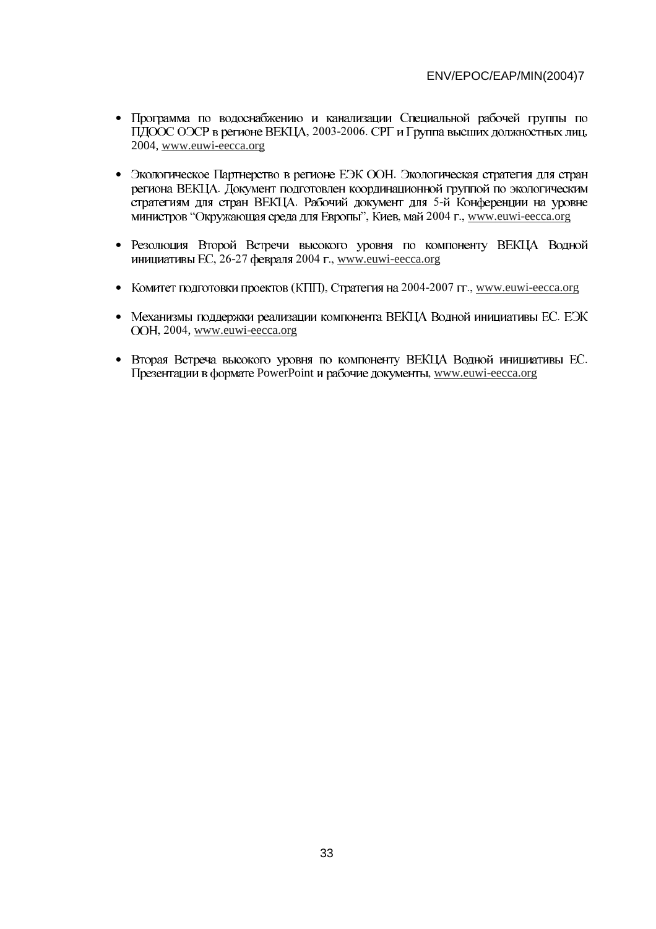- $\bullet$ , 2003-2006. СРГ и Группа высших должностных лиц, 2004, www.euwi-eecca.org
- Экологическое Партнерство в регионе ЕЭК ООН. г. Рабочий документ для 5-"Окружающая среда для Европы", Киев, май 2004 г., www.euwi-eecca.org
- $\bullet$ , 26-27 февраля 2004 г., www.euwi-eecca.org
- Комитет подготовки проектов (КПП), Стратегия на 2004-2007 гг., www.euwi-eecca.org
- Механизмы поддержки реализации компонента ВЕКЦА Водной инициативы ЕС. , 2004, www.euwi-eecca.org
- Вторая Встреча высокого уровня по компоненту ВЕКЦА Водной инициативы ЕС. PowerPoint и рабочие документы, www.euwi-eecca.org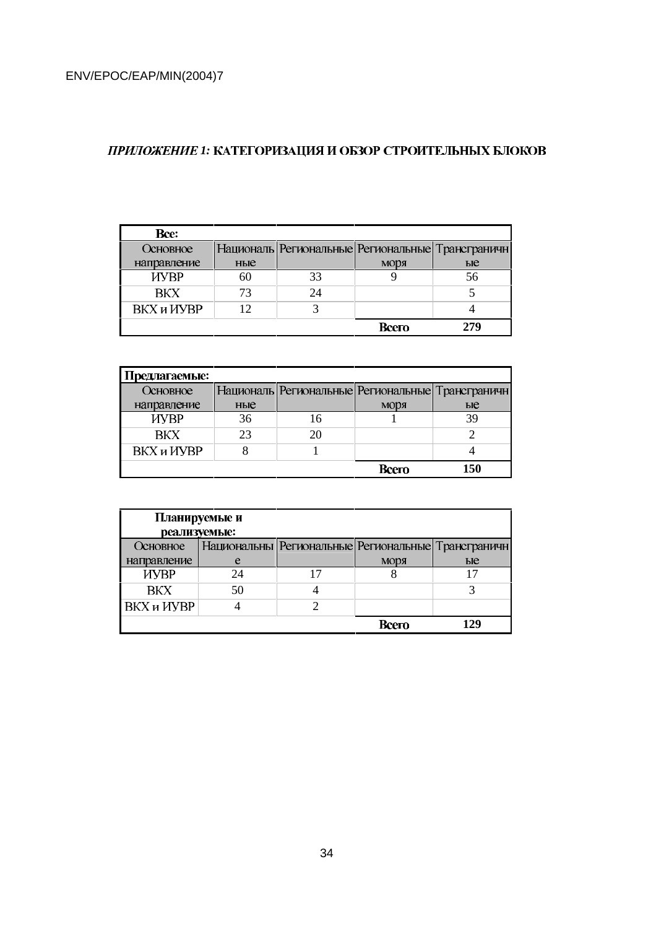# **ПРИЛОЖЕНИЕ 1: КАТЕГОРИЗАЦИЯ И ОБЗОР СТРОИТЕЛЬНЫХ БЛОКОВ**

| <b>Bce:</b> |     |    |                                                        |    |
|-------------|-----|----|--------------------------------------------------------|----|
| Основное    |     |    | Националь   Региональные   Региональные   Трансграничн |    |
| направление | ные |    | моря                                                   | ые |
| <b>HYBP</b> | 60  | 33 |                                                        |    |
| <b>BKX</b>  | 73  | 74 |                                                        |    |
| ВКХ и ИУВР  | 12  |    |                                                        |    |
|             |     |    | Всего                                                  |    |

| Предлагаемые:     |     |                                                        |     |
|-------------------|-----|--------------------------------------------------------|-----|
| Основное          |     | Националь   Региональные   Региональные   Трансграничн |     |
| направление       | ные | моря                                                   | ые  |
| <b>HYBP</b>       | 36  |                                                        |     |
| <b>BKX</b>        | 23  |                                                        |     |
| <b>ВКХ</b> и ИУВР |     |                                                        |     |
|                   |     | Всего                                                  | 150 |

| Планируемые и |              |  |                                                          |     |  |  |  |  |
|---------------|--------------|--|----------------------------------------------------------|-----|--|--|--|--|
|               | реализуемые: |  |                                                          |     |  |  |  |  |
| Основное      |              |  | Национальны   Региональные   Региональные   Трансграничн |     |  |  |  |  |
| направление   | e            |  | <b>MODA</b>                                              | ые  |  |  |  |  |
| <b>HYBP</b>   | 24           |  |                                                          |     |  |  |  |  |
| <b>BKX</b>    | 50           |  |                                                          |     |  |  |  |  |
| ВКХ и ИУВР    |              |  |                                                          |     |  |  |  |  |
|               |              |  | Всего                                                    | 129 |  |  |  |  |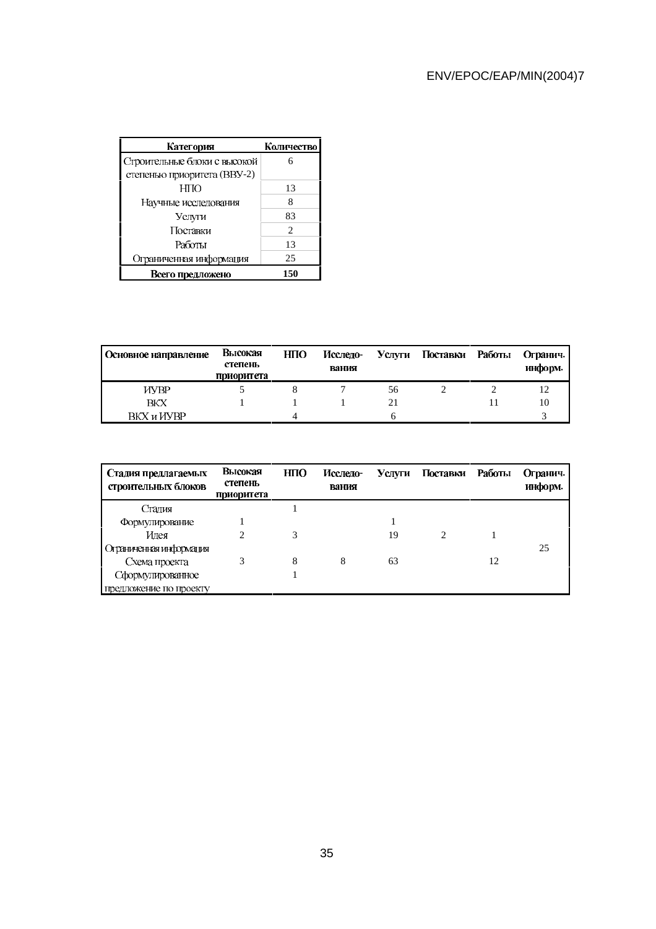| Категория                    | Количество                  |
|------------------------------|-----------------------------|
| Строительные блоки с высокой |                             |
| степенью приоритета (BBY-2)  |                             |
| H <sub>II</sub>              | 13                          |
| Научные исследования         | 8                           |
| Услуги                       | 83                          |
| Поставки                     | $\mathcal{D}_{\mathcal{L}}$ |
| Работы                       | 13                          |
| Ограниченная информация      | 25                          |
| Всего предложено             | 150                         |

| Основное направление | Высокая<br>степень<br>приоритета | HПO | Исследо-<br>вания |    | Услуги Поставки Работы | Огранич.<br>информ. |
|----------------------|----------------------------------|-----|-------------------|----|------------------------|---------------------|
| <b>NYBP</b>          |                                  |     |                   | 56 |                        |                     |
| <b>BKX</b>           |                                  |     |                   | 21 |                        | 10                  |
| <b>BKX u UVBP</b>    |                                  | 4   |                   | n  |                        |                     |

| Стадия предлагаемых<br>строительных блоков | Высокая<br>степень<br>приоритета | H <sub>II</sub> | Исслело-<br>вания |    | Услуги Поставки | Работы | Огранич.<br>информ. |
|--------------------------------------------|----------------------------------|-----------------|-------------------|----|-----------------|--------|---------------------|
| Сталия                                     |                                  |                 |                   |    |                 |        |                     |
| Формулирование                             |                                  |                 |                   |    |                 |        |                     |
| Илея                                       |                                  |                 |                   | 19 |                 |        |                     |
| Отраниченная информация                    |                                  |                 |                   |    |                 |        | 25                  |
| Схема проекта                              | 3                                | 8               | 8                 | 63 |                 | 12     |                     |
| Сформулированное                           |                                  |                 |                   |    |                 |        |                     |
| предложение по проекту                     |                                  |                 |                   |    |                 |        |                     |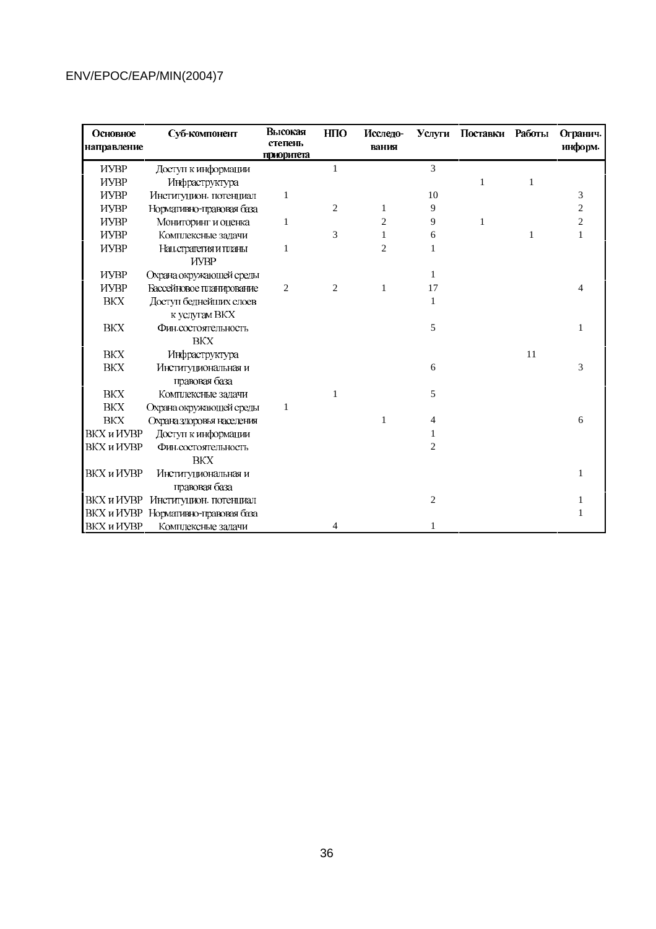| Основное<br>направление | Суб-компонент                        | Высокая<br>степень | <b>HIIO</b>    | Исследо-<br>вания |                | Услуги Поставки Работы |    | Огранич.<br>информ.     |
|-------------------------|--------------------------------------|--------------------|----------------|-------------------|----------------|------------------------|----|-------------------------|
| <b>HYBP</b>             | Доступ к информации                  | приоритета         | 1              |                   | 3              |                        |    |                         |
| <b>HYBP</b>             | Инфраструктура                       |                    |                |                   |                | 1                      | 1  |                         |
| <b>HYBP</b>             | Институцион. потенциал               | 1                  |                |                   | 10             |                        |    | 3                       |
| <b>HYBP</b>             | Нормативно-правовая база             |                    | 2              |                   | 9              |                        |    | $\overline{\mathbf{c}}$ |
| <b>HYBP</b>             | Мониторинг и оценка                  | 1                  |                | $\overline{2}$    | 9              | 1                      |    | $\overline{c}$          |
| <b>HYBP</b>             | Комплексные задачи                   |                    | 3              |                   | 6              |                        | 1  | 1                       |
| <b>HYBP</b>             | Нац.стратегия и планы<br><b>HYBP</b> | 1                  |                | $\overline{2}$    | 1              |                        |    |                         |
| <b>HYBP</b>             | Охрана окружающей среды              |                    |                |                   | 1              |                        |    |                         |
| <b>HYBP</b>             | Бассейновое планирование             | $\overline{c}$     | $\overline{c}$ | 1                 | 17             |                        |    |                         |
| <b>BKX</b>              | Доступ беднейших слоев               |                    |                |                   | 1              |                        |    |                         |
|                         | к услугам ВКХ                        |                    |                |                   |                |                        |    |                         |
| <b>BKX</b>              | Фин.состоятельность                  |                    |                |                   | 5              |                        |    | 1                       |
|                         | <b>BKX</b>                           |                    |                |                   |                |                        |    |                         |
| <b>BKX</b>              | Инфраструктура                       |                    |                |                   |                |                        | 11 |                         |
| BKX                     | Институциональная и                  |                    |                |                   | 6              |                        |    | 3                       |
|                         | правовая база                        |                    |                |                   |                |                        |    |                         |
| <b>BKX</b>              | Комплексные задачи                   |                    |                |                   | 5              |                        |    |                         |
| BKX                     | Охрана окружающей среды              | 1                  |                |                   |                |                        |    |                         |
| BKX                     | Охрана здоровья населения            |                    |                | 1                 | 4              |                        |    | 6                       |
| ВКХ и ИУВР              | Доступ к информации                  |                    |                |                   |                |                        |    |                         |
| ВКХ и ИУВР              | Фин.состоятельность                  |                    |                |                   | 2              |                        |    |                         |
|                         | <b>BKX</b>                           |                    |                |                   |                |                        |    |                         |
| ВКХ и ИУВР              | Институциональная и                  |                    |                |                   |                |                        |    |                         |
|                         | правовая база                        |                    |                |                   |                |                        |    |                         |
|                         | ВКХ и ИУВР Институцион. потенциал    |                    |                |                   | $\overline{c}$ |                        |    |                         |
|                         | ВКХ и ИУВР Нормативно-правовая база  |                    |                |                   |                |                        |    |                         |
| ВКХ и ИУВР              | Комплексные задачи                   |                    | 4              |                   |                |                        |    |                         |